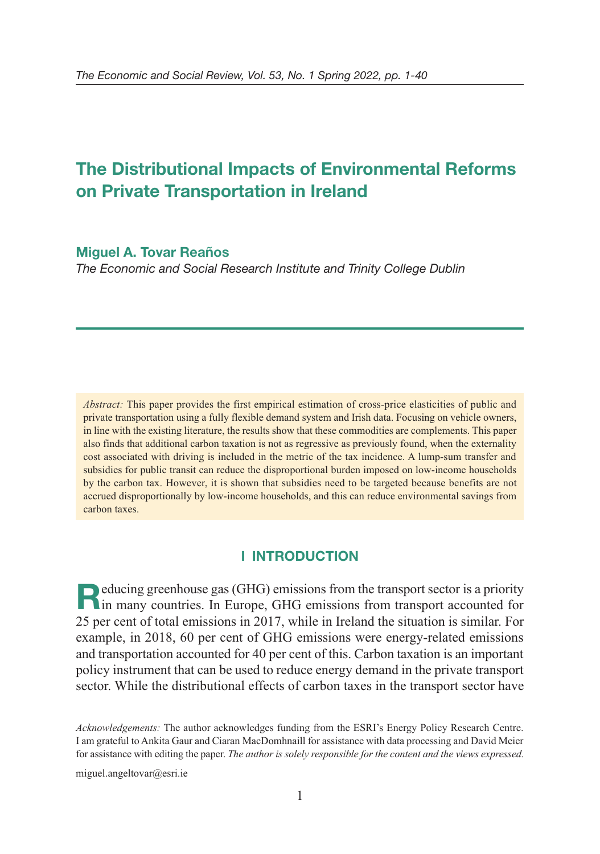# **The Distributional Impacts of Environmental Reforms on Private Transportation in Ireland**

# **Miguel A. Tovar Reaños**

The Economic and Social Research Institute and Trinity College Dublin

*Abstract:* This paper provides the first empirical estimation of cross-price elasticities of public and private transportation using a fully flexible demand system and Irish data. Focusing on vehicle owners, in line with the existing literature, the results show that these commodities are complements. This paper also finds that additional carbon taxation is not as regressive as previously found, when the externality cost associated with driving is included in the metric of the tax incidence. A lump-sum transfer and subsidies for public transit can reduce the disproportional burden imposed on low-income households by the carbon tax. However, it is shown that subsidies need to be targeted because benefits are not accrued disproportionally by low-income households, and this can reduce environmental savings from carbon taxes.

# **I INTRODUCTION**

**Reducing greenhouse gas (GHG) emissions from the transport sector is a priority in many countries. In Europe, GHG emissions from transport accounted for** 25 per cent of total emissions in 2017, while in Ireland the situation is similar. For example, in 2018, 60 per cent of GHG emissions were energy-related emissions and transportation accounted for 40 per cent of this. Carbon taxation is an important policy instrument that can be used to reduce energy demand in the private transport sector. While the distributional effects of carbon taxes in the transport sector have

*Acknowledgements:* The author acknowledges funding from the ESRI's Energy Policy Research Centre. I am grateful to Ankita Gaur and Ciaran MacDomhnaill for assistance with data processing and David Meier for assistance with editing the paper. *The author is solely responsible for the content and the views expressed.*

miguel.angeltovar@esri.ie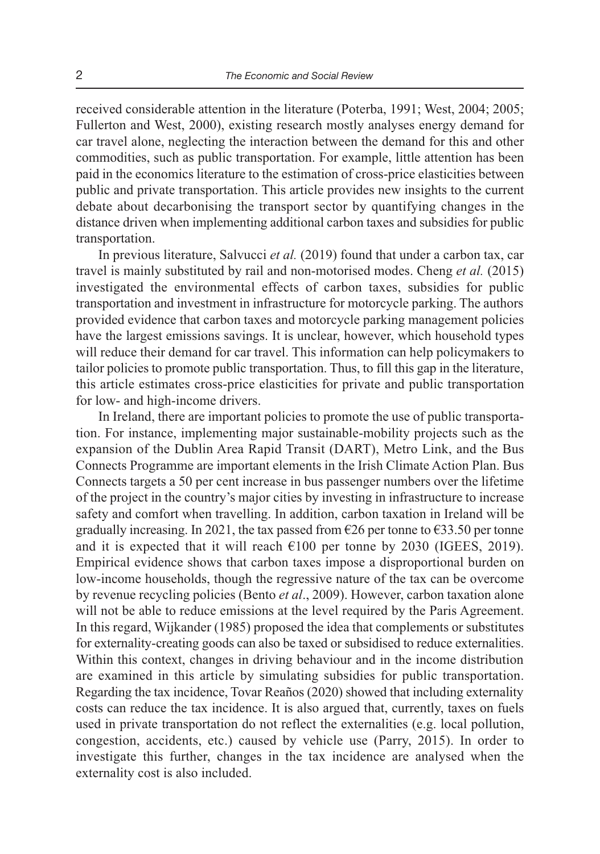received considerable attention in the literature (Poterba, 1991; West, 2004; 2005; Fullerton and West, 2000), existing research mostly analyses energy demand for car travel alone, neglecting the interaction between the demand for this and other commodities, such as public transportation. For example, little attention has been paid in the economics literature to the estimation of cross-price elasticities between public and private transportation. This article provides new insights to the current debate about decarbonising the transport sector by quantifying changes in the distance driven when implementing additional carbon taxes and subsidies for public transportation.

In previous literature, Salvucci *et al.* (2019) found that under a carbon tax, car travel is mainly substituted by rail and non-motorised modes. Cheng *et al.* (2015) investigated the environmental effects of carbon taxes, subsidies for public transportation and investment in infrastructure for motorcycle parking. The authors provided evidence that carbon taxes and motorcycle parking management policies have the largest emissions savings. It is unclear, however, which household types will reduce their demand for car travel. This information can help policymakers to tailor policies to promote public transportation. Thus, to fill this gap in the literature, this article estimates cross-price elasticities for private and public transportation for low- and high-income drivers.

In Ireland, there are important policies to promote the use of public transporta tion. For instance, implementing major sustainable-mobility projects such as the expansion of the Dublin Area Rapid Transit (DART), Metro Link, and the Bus Connects Programme are important elements in the Irish Climate Action Plan. Bus Connects targets a 50 per cent increase in bus passenger numbers over the lifetime of the project in the country's major cities by investing in infrastructure to increase safety and comfort when travelling. In addition, carbon taxation in Ireland will be gradually increasing. In 2021, the tax passed from  $\epsilon$ 26 per tonne to  $\epsilon$ 33.50 per tonne and it is expected that it will reach  $\epsilon$ 100 per tonne by 2030 (IGEES, 2019). Empirical evidence shows that carbon taxes impose a disproportional burden on low-income households, though the regressive nature of the tax can be overcome by revenue recycling policies (Bento *et al*., 2009). However, carbon taxation alone will not be able to reduce emissions at the level required by the Paris Agreement. In this regard, Wijkander (1985) proposed the idea that complements or substitutes for externality-creating goods can also be taxed or subsidised to reduce externalities. Within this context, changes in driving behaviour and in the income distribution are examined in this article by simulating subsidies for public transportation. Regarding the tax incidence, Tovar Reaños (2020) showed that including externality costs can reduce the tax incidence. It is also argued that, currently, taxes on fuels used in private transportation do not reflect the externalities (e.g. local pollution, congestion, accidents, etc.) caused by vehicle use (Parry, 2015). In order to investigate this further, changes in the tax incidence are analysed when the externality cost is also included.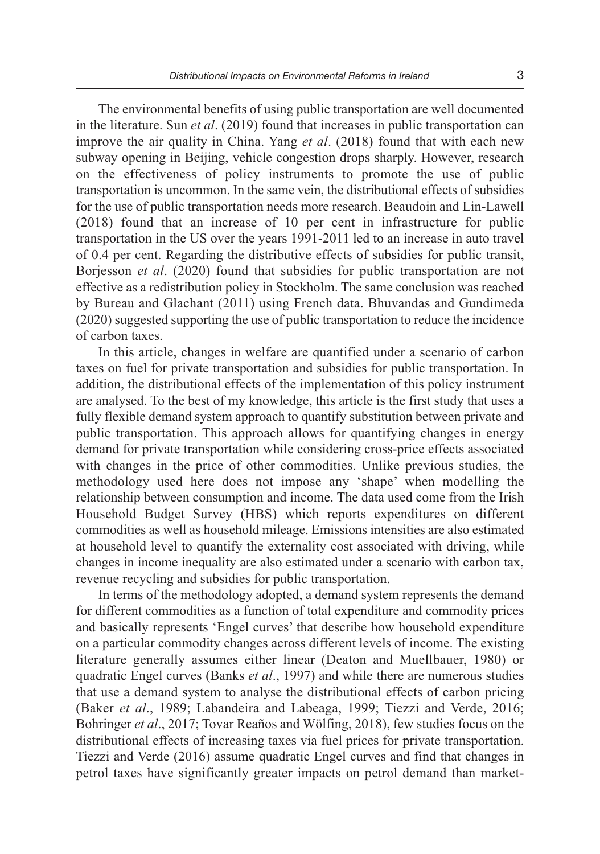The environmental benefits of using public transportation are well documented in the literature. Sun *et al*. (2019) found that increases in public transportation can improve the air quality in China. Yang *et al*. (2018) found that with each new subway opening in Beijing, vehicle congestion drops sharply. However, research on the effectiveness of policy instruments to promote the use of public transportation is uncommon. In the same vein, the distributional effects of subsidies for the use of public transportation needs more research. Beaudoin and Lin-Lawell (2018) found that an increase of 10 per cent in infrastructure for public transportation in the US over the years 1991-2011 led to an increase in auto travel of 0.4 per cent. Regarding the distributive effects of subsidies for public transit, Borjesson *et al*. (2020) found that subsidies for public transportation are not effective as a redistribution policy in Stockholm. The same conclusion was reached by Bureau and Glachant (2011) using French data. Bhuvandas and Gundimeda (2020) suggested supporting the use of public transportation to reduce the incidence of carbon taxes.

In this article, changes in welfare are quantified under a scenario of carbon taxes on fuel for private transportation and subsidies for public transportation. In addition, the distributional effects of the implementation of this policy instrument are analysed. To the best of my knowledge, this article is the first study that uses a fully flexible demand system approach to quantify substitution between private and public transportation. This approach allows for quantifying changes in energy demand for private transportation while considering cross-price effects associated with changes in the price of other commodities. Unlike previous studies, the methodology used here does not impose any 'shape' when modelling the relationship between consumption and income. The data used come from the Irish Household Budget Survey (HBS) which reports expenditures on different commodities as well as household mileage. Emissions intensities are also estimated at household level to quantify the externality cost associated with driving, while changes in income inequality are also estimated under a scenario with carbon tax, revenue recycling and subsidies for public transportation.

In terms of the methodology adopted, a demand system represents the demand for different commodities as a function of total expenditure and commodity prices and basically represents 'Engel curves' that describe how household expenditure on a particular commodity changes across different levels of income. The existing literature generally assumes either linear (Deaton and Muellbauer, 1980) or quadratic Engel curves (Banks *et al*., 1997) and while there are numerous studies that use a demand system to analyse the distributional effects of carbon pricing (Baker *et al*., 1989; Labandeira and Labeaga, 1999; Tiezzi and Verde, 2016; Bohringer *et al*., 2017; Tovar Reaños and Wölfing, 2018), few studies focus on the distributional effects of increasing taxes via fuel prices for private transportation. Tiezzi and Verde (2016) assume quadratic Engel curves and find that changes in petrol taxes have significantly greater impacts on petrol demand than market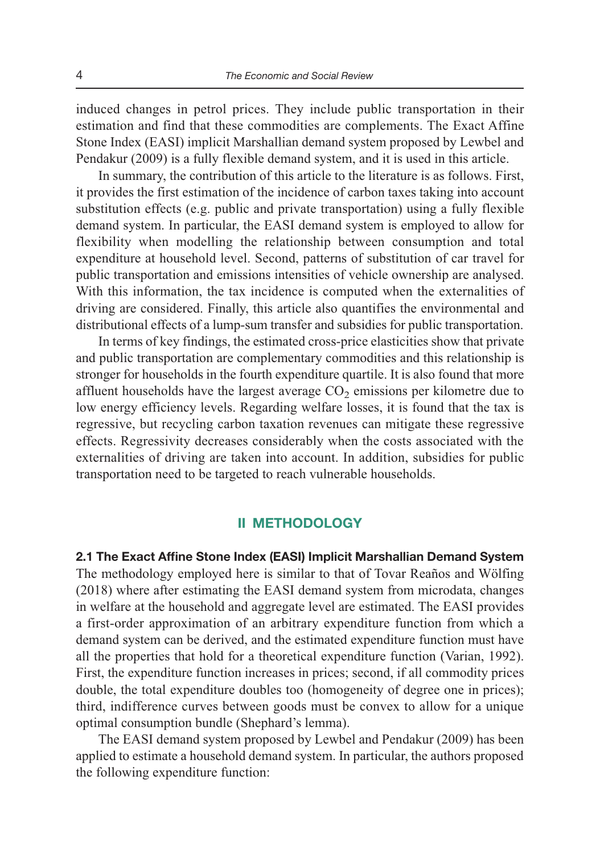induced changes in petrol prices. They include public transportation in their estimation and find that these commodities are complements. The Exact Affine Stone Index (EASI) implicit Marshallian demand system proposed by Lewbel and Pendakur (2009) is a fully flexible demand system, and it is used in this article.

In summary, the contribution of this article to the literature is as follows. First, it provides the first estimation of the incidence of carbon taxes taking into account substitution effects (e.g. public and private transportation) using a fully flexible demand system. In particular, the EASI demand system is employed to allow for flexibility when modelling the relationship between consumption and total expenditure at household level. Second, patterns of substitution of car travel for public transportation and emissions intensities of vehicle ownership are analysed. With this information, the tax incidence is computed when the externalities of driving are considered. Finally, this article also quantifies the environmental and distributional effects of a lump-sum transfer and subsidies for public transportation.

In terms of key findings, the estimated cross-price elasticities show that private and public transportation are complementary commodities and this relationship is stronger for households in the fourth expenditure quartile. It is also found that more affluent households have the largest average  $CO<sub>2</sub>$  emissions per kilometre due to low energy efficiency levels. Regarding welfare losses, it is found that the tax is regressive, but recycling carbon taxation revenues can mitigate these regressive effects. Regressivity decreases considerably when the costs associated with the externalities of driving are taken into account. In addition, subsidies for public transportation need to be targeted to reach vulnerable households.

#### **II METHODOLOGY**

**2.1 The Exact Affine Stone Index (EASI) Implicit Marshallian Demand System**  The methodology employed here is similar to that of Tovar Reaños and Wölfing (2018) where after estimating the EASI demand system from microdata, changes in welfare at the household and aggregate level are estimated. The EASI provides a first-order approximation of an arbitrary expenditure function from which a demand system can be derived, and the estimated expenditure function must have all the properties that hold for a theoretical expenditure function (Varian, 1992). First, the expenditure function increases in prices; second, if all commodity prices double, the total expenditure doubles too (homogeneity of degree one in prices); third, indifference curves between goods must be convex to allow for a unique optimal consumption bundle (Shephard's lemma).

The EASI demand system proposed by Lewbel and Pendakur (2009) has been applied to estimate a household demand system. In particular, the authors proposed the following expenditure function: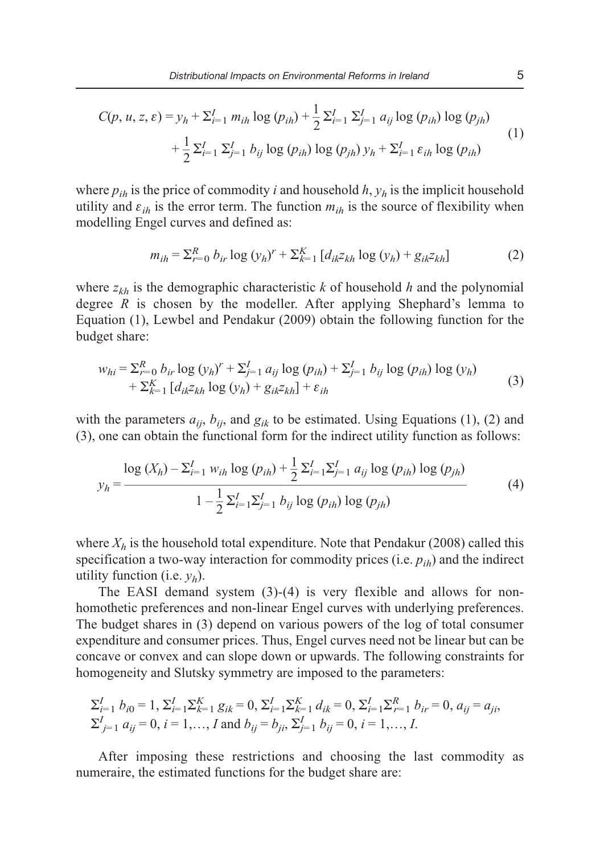$$
C(p, u, z, \varepsilon) = y_h + \sum_{i=1}^{I} m_{ih} \log (p_{ih}) + \frac{1}{2} \sum_{i=1}^{I} \sum_{j=1}^{I} a_{ij} \log (p_{ih}) \log (p_{jh})
$$
  
+ 
$$
\frac{1}{2} \sum_{i=1}^{I} \sum_{j=1}^{I} b_{ij} \log (p_{ih}) \log (p_{jh}) y_h + \sum_{i=1}^{I} \varepsilon_{ih} \log (p_{ih})
$$
(1)

where  $p_{ih}$  is the price of commodity *i* and household *h*,  $y_h$  is the implicit household utility and  $\varepsilon_{ih}$  is the error term. The function  $m_{ih}$  is the source of flexibility when modelling Engel curves and defined as:

$$
m_{ih} = \sum_{r=0}^{R} b_{ir} \log (y_h)^r + \sum_{k=1}^{K} [d_{ik} z_{kh} \log (y_h) + g_{ik} z_{kh}] \tag{2}
$$

where *zkh* is the demographic characteristic *k* of household *h* and the polynomial degree *R* is chosen by the modeller. After applying Shephard's lemma to Equation (1), Lewbel and Pendakur (2009) obtain the following function for the budget share:

$$
w_{hi} = \sum_{r=0}^{R} b_{ir} \log (y_h)^r + \sum_{j=1}^{I} a_{ij} \log (p_{ih}) + \sum_{j=1}^{I} b_{ij} \log (p_{ih}) \log (y_h)
$$
  
+  $\sum_{k=1}^{K} [d_{ik}z_{kh} \log (y_h) + g_{ik}z_{kh}] + \varepsilon_{ih}$  (3)

with the parameters  $a_{ii}$ ,  $b_{ii}$ , and  $g_{ik}$  to be estimated. Using Equations (1), (2) and (3), one can obtain the functional form for the indirect utility function as follows:

$$
y_h = \frac{\log (X_h) - \sum_{i=1}^I w_{ih} \log (p_{ih}) + \frac{1}{2} \sum_{i=1}^I \sum_{j=1}^I a_{ij} \log (p_{ih}) \log (p_{jh})}{1 - \frac{1}{2} \sum_{i=1}^I \sum_{j=1}^I b_{ij} \log (p_{ih}) \log (p_{jh})}
$$
(4)

where  $X_h$  is the household total expenditure. Note that Pendakur (2008) called this specification a two-way interaction for commodity prices (i.e.  $p_{ih}$ ) and the indirect utility function (i.e. *yh*).

The EASI demand system (3)-(4) is very flexible and allows for nonhomothetic preferences and non-linear Engel curves with underlying preferences. The budget shares in (3) depend on various powers of the log of total consumer expenditure and consumer prices. Thus, Engel curves need not be linear but can be concave or convex and can slope down or upwards. The following constraints for homogeneity and Slutsky symmetry are imposed to the parameters:

$$
\sum_{i=1}^{I} b_{i0} = 1, \sum_{i=1}^{I} \sum_{k=1}^{K} g_{ik} = 0, \sum_{i=1}^{I} \sum_{k=1}^{K} d_{ik} = 0, \sum_{i=1}^{I} \sum_{r=1}^{R} b_{ir} = 0, a_{ij} = a_{ji},
$$
  

$$
\sum_{j=1}^{I} a_{ij} = 0, i = 1,..., I \text{ and } b_{ij} = b_{ji}, \sum_{j=1}^{I} b_{ij} = 0, i = 1,..., I.
$$

After imposing these restrictions and choosing the last commodity as numeraire, the estimated functions for the budget share are: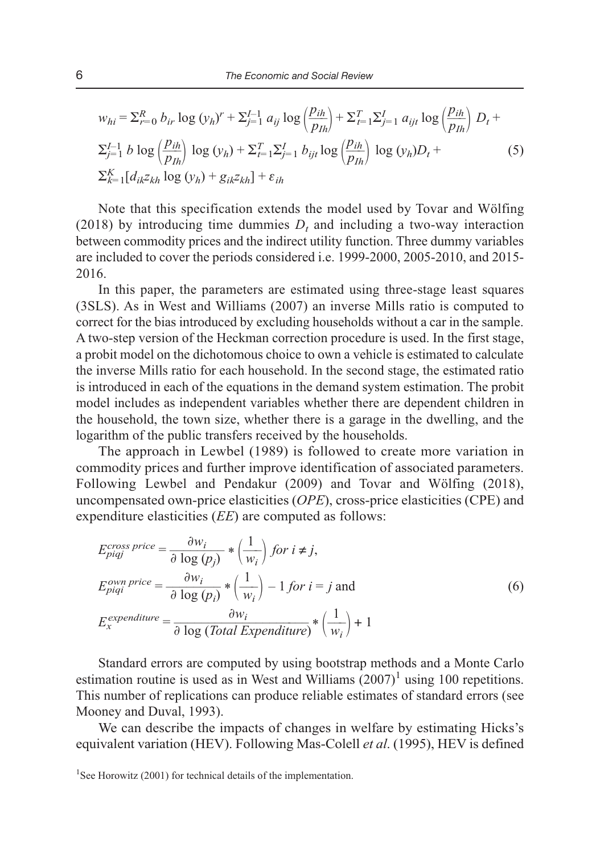$$
w_{hi} = \sum_{r=0}^{R} b_{ir} \log (y_h)^r + \sum_{j=1}^{I-1} a_{ij} \log \left(\frac{p_{ih}}{p_{Ih}}\right) + \sum_{t=1}^{T} \sum_{j=1}^{I} a_{ijt} \log \left(\frac{p_{ih}}{p_{Ih}}\right) D_t +
$$
  

$$
\sum_{j=1}^{I-1} b \log \left(\frac{p_{ih}}{p_{Ih}}\right) \log (y_h) + \sum_{t=1}^{T} \sum_{j=1}^{I} b_{ijt} \log \left(\frac{p_{ih}}{p_{Ih}}\right) \log (y_h) D_t +
$$
  

$$
\sum_{k=1}^{K} [d_{ik} z_{kh} \log (y_h) + g_{ik} z_{kh}] + \varepsilon_{ih}
$$
 (5)

Note that this specification extends the model used by Tovar and Wölfing (2018) by introducing time dummies  $D_t$  and including a two-way interaction between commodity prices and the indirect utility function. Three dummy variables are included to cover the periods considered i.e. 1999-2000, 2005-2010, and 2015- 2016.

In this paper, the parameters are estimated using three-stage least squares (3SLS). As in West and Williams (2007) an inverse Mills ratio is computed to correct for the bias introduced by excluding households without a car in the sample. A two-step version of the Heckman correction procedure is used. In the first stage, a probit model on the dichotomous choice to own a vehicle is estimated to calculate the inverse Mills ratio for each household. In the second stage, the estimated ratio is introduced in each of the equations in the demand system estimation. The probit model includes as independent variables whether there are dependent children in the household, the town size, whether there is a garage in the dwelling, and the logarithm of the public transfers received by the households.

The approach in Lewbel (1989) is followed to create more variation in commodity prices and further improve identification of associated parameters. Following Lewbel and Pendakur (2009) and Tovar and Wölfing (2018), uncompensated own-price elasticities (*OPE*), cross-price elasticities (CPE) and expenditure elasticities (*EE*) are computed as follows:

$$
E_{piqj}^{cross\ price} = \frac{\partial w_i}{\partial \log (p_j)} * \left(\frac{1}{w_i}\right) for \ i \neq j,
$$
  
\n
$$
E_{piqi}^{own\ price} = \frac{\partial w_i}{\partial \log (p_i)} * \left(\frac{1}{w_i}\right) - 1 for \ i = j \text{ and}
$$
  
\n
$$
E_x^{expenditure} = \frac{\partial w_i}{\partial \log (Total Expenditure)} * \left(\frac{1}{w_i}\right) + 1
$$
  
\n(6)

Standard errors are computed by using bootstrap methods and a Monte Carlo estimation routine is used as in West and Williams  $(2007)^1$  using 100 repetitions. This number of replications can produce reliable estimates of standard errors (see Mooney and Duval, 1993).

We can describe the impacts of changes in welfare by estimating Hicks's equivalent variation (HEV). Following Mas-Colell *et al*. (1995), HEV is defined

<sup>&</sup>lt;sup>1</sup>See Horowitz (2001) for technical details of the implementation.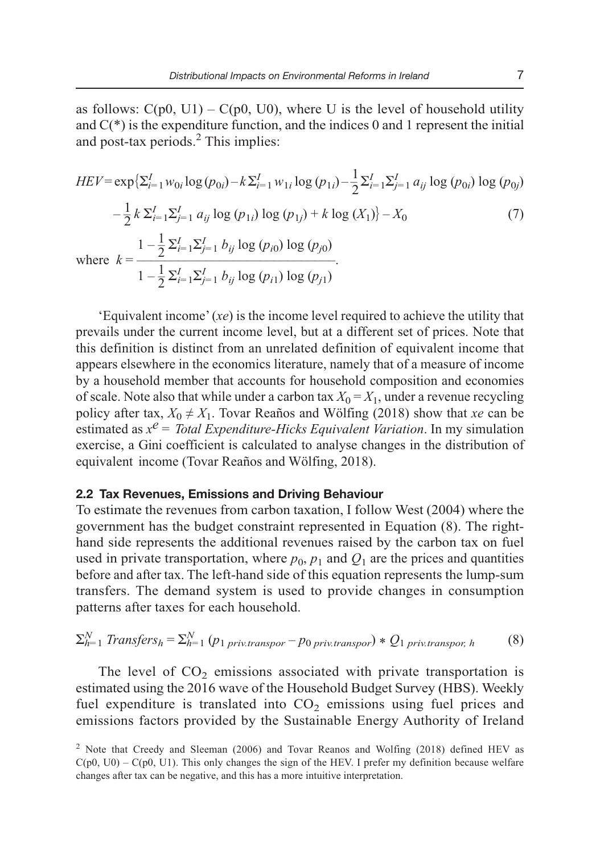as follows:  $C(p0, U1) - C(p0, U0)$ , where U is the level of household utility and  $C(*)$  is the expenditure function, and the indices 0 and 1 represent the initial and post-tax periods. $<sup>2</sup>$  This implies:</sup>

$$
HEV = \exp\left\{\sum_{i=1}^{I} w_{0i} \log (p_{0i}) - k \sum_{i=1}^{I} w_{1i} \log (p_{1i}) - \frac{1}{2} \sum_{i=1}^{I} \sum_{j=1}^{I} a_{ij} \log (p_{0i}) \log (p_{0j})\right\}
$$

$$
- \frac{1}{2} k \sum_{i=1}^{I} \sum_{j=1}^{I} a_{ij} \log (p_{1i}) \log (p_{1j}) + k \log (X_1) - X_0 \tag{7}
$$
  
where 
$$
k = \frac{1 - \frac{1}{2} \sum_{i=1}^{I} \sum_{j=1}^{I} b_{ij} \log (p_{i0}) \log (p_{j0})}{1 - \frac{1}{2} \sum_{i=1}^{I} \sum_{j=1}^{I} b_{ij} \log (p_{i1}) \log (p_{j1})}.
$$

'Equivalent income' (*xe*) is the income level required to achieve the utility that prevails under the current income level, but at a different set of prices. Note that this definition is distinct from an unrelated definition of equivalent income that appears elsewhere in the economics literature, namely that of a measure of income by a household member that accounts for household composition and economies of scale. Note also that while under a carbon tax  $X_0 = X_1$ , under a revenue recycling policy after tax,  $X_0 \neq X_1$ . Tovar Reaños and Wölfing (2018) show that *xe* can be estimated as  $x^e$  = *Total Expenditure-Hicks Equivalent Variation*. In my simulation exercise, a Gini coefficient is calculated to analyse changes in the distribution of equivalent income (Tovar Reaños and Wölfing, 2018).

#### **2.2 Tax Revenues, Emissions and Driving Behaviour**

To estimate the revenues from carbon taxation, I follow West (2004) where the government has the budget constraint represented in Equation (8). The righthand side represents the additional revenues raised by the carbon tax on fuel used in private transportation, where  $p_0$ ,  $p_1$  and  $Q_1$  are the prices and quantities before and after tax. The left-hand side of this equation represents the lump-sum transfers. The demand system is used to provide changes in consumption patterns after taxes for each household.

$$
\sum_{h=1}^{N} Transfers_h = \sum_{h=1}^{N} (p_{1\,priv.transport} - p_{0\,priv.transport}) * Q_{1\,priv.transport, h}
$$
 (8)

The level of  $CO<sub>2</sub>$  emissions associated with private transportation is estimated using the 2016 wave of the Household Budget Survey (HBS). Weekly fuel expenditure is translated into  $CO<sub>2</sub>$  emissions using fuel prices and emissions factors provided by the Sustainable Energy Authority of Ireland

<sup>&</sup>lt;sup>2</sup> Note that Creedy and Sleeman (2006) and Tovar Reanos and Wolfing (2018) defined HEV as  $C(p0, U0) - C(p0, U1)$ . This only changes the sign of the HEV. I prefer my definition because welfare changes after tax can be negative, and this has a more intuitive interpretation.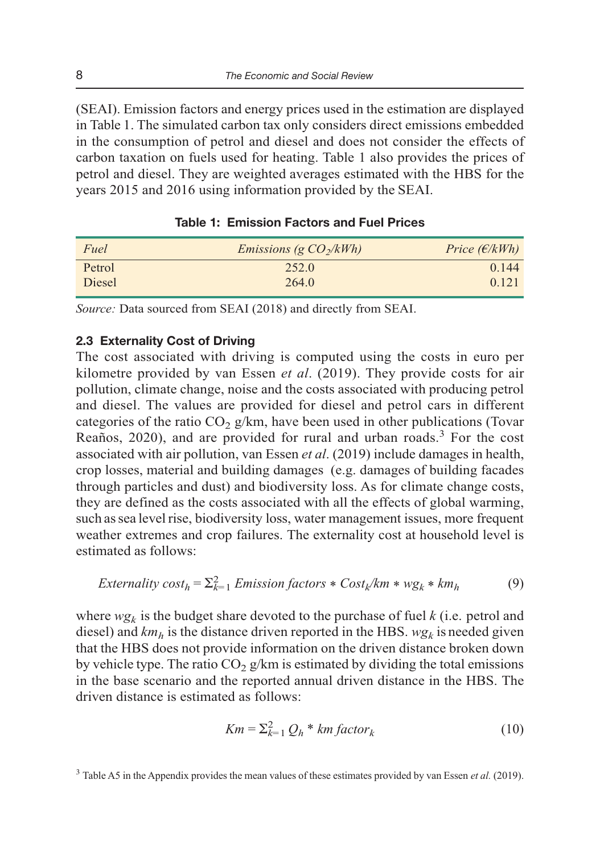(SEAI). Emission factors and energy prices used in the estimation are displayed in Table 1. The simulated carbon tax only considers direct emissions embedded in the consumption of petrol and diesel and does not consider the effects of carbon taxation on fuels used for heating. Table 1 also provides the prices of petrol and diesel. They are weighted averages estimated with the HBS for the years 2015 and 2016 using information provided by the SEAI.

| Fuel   | <i>Emissions (g <math>CO_2/kWh</math>)</i> | Price $(\epsilon/kWh)$ |
|--------|--------------------------------------------|------------------------|
| Petrol | 252.0                                      | 0.144                  |
| Diesel | 264.0                                      | 0.121                  |

#### **Table 1: Emission Factors and Fuel Prices**

*Source:* Data sourced from SEAI (2018) and directly from SEAI.

#### **2.3 Externality Cost of Driving**

The cost associated with driving is computed using the costs in euro per kilometre provided by van Essen *et al*. (2019). They provide costs for air pollution, climate change, noise and the costs associated with producing petrol and diesel. The values are provided for diesel and petrol cars in different categories of the ratio  $CO<sub>2</sub> g/km$ , have been used in other publications (Tovar Reaños, 2020), and are provided for rural and urban roads.<sup>3</sup> For the cost associated with air pollution, van Essen *et al*. (2019) include damages in health, crop losses, material and building damages (e.g. damages of building facades through particles and dust) and biodiversity loss. As for climate change costs, they are defined as the costs associated with all the effects of global warming, such as sea level rise, biodiversity loss, water management issues, more frequent weather extremes and crop failures. The externality cost at household level is estimated as follows:

$$
Externality cost_h = \sum_{k=1}^{2} Emission factors * Cost_k / km * wg_k * km_h
$$
 (9)

where  $wg_k$  is the budget share devoted to the purchase of fuel  $k$  (i.e. petrol and diesel) and  $km<sub>h</sub>$  is the distance driven reported in the HBS.  $wg<sub>k</sub>$  is needed given that the HBS does not provide information on the driven distance broken down by vehicle type. The ratio  $CO<sub>2</sub> g/km$  is estimated by dividing the total emissions in the base scenario and the reported annual driven distance in the HBS. The driven distance is estimated as follows:

$$
Km = \sum_{k=1}^{2} Q_h * km \, factor_k \tag{10}
$$

<sup>3</sup> Table A5 in the Appendix provides the mean values of these estimates provided by van Essen et al. (2019).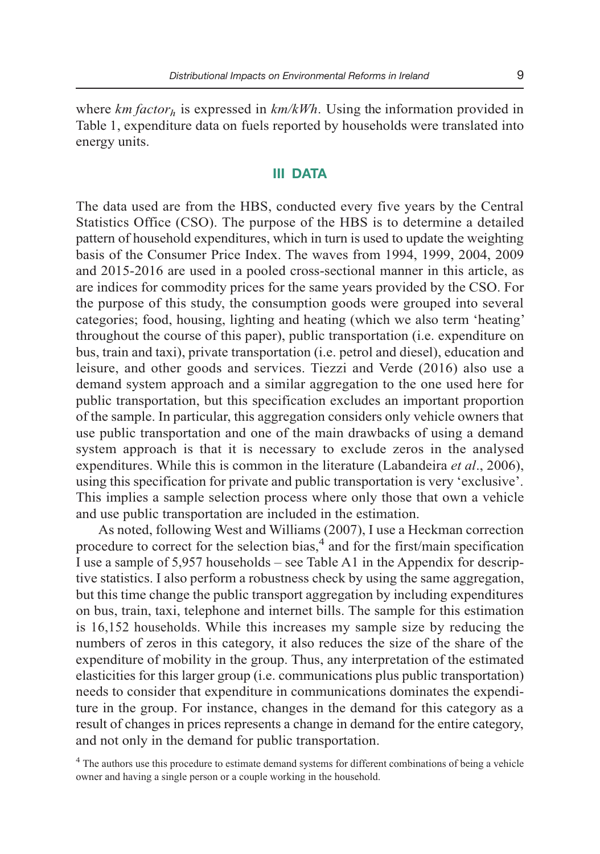where  $km factor_h$  is expressed in  $km/kWh$ . Using the information provided in Table 1, expenditure data on fuels reported by households were translated into energy units.

## **III DATA**

The data used are from the HBS, conducted every five years by the Central Statistics Office (CSO). The purpose of the HBS is to determine a detailed pattern of household expenditures, which in turn is used to update the weighting basis of the Consumer Price Index. The waves from 1994, 1999, 2004, 2009 and 2015-2016 are used in a pooled cross-sectional manner in this article, as are indices for commodity prices for the same years provided by the CSO. For the purpose of this study, the consumption goods were grouped into several categories; food, housing, lighting and heating (which we also term 'heating' throughout the course of this paper), public transportation (i.e. expenditure on bus, train and taxi), private transportation (i.e. petrol and diesel), education and leisure, and other goods and services. Tiezzi and Verde (2016) also use a demand system approach and a similar aggregation to the one used here for public transportation, but this specification excludes an important proportion of the sample. In particular, this aggregation considers only vehicle owners that use public transportation and one of the main drawbacks of using a demand system approach is that it is necessary to exclude zeros in the analysed expenditures. While this is common in the literature (Labandeira *et al*., 2006), using this specification for private and public transportation is very 'exclusive'. This implies a sample selection process where only those that own a vehicle and use public transportation are included in the estimation.

As noted, following West and Williams (2007), I use a Heckman correction procedure to correct for the selection bias,<sup>4</sup> and for the first/main specification I use a sample of 5,957 households – see Table A1 in the Appendix for descrip tive statistics. I also perform a robustness check by using the same aggregation, but this time change the public transport aggregation by including expenditures on bus, train, taxi, telephone and internet bills. The sample for this estimation is 16,152 households. While this increases my sample size by reducing the numbers of zeros in this category, it also reduces the size of the share of the expenditure of mobility in the group. Thus, any interpretation of the estimated elasticities for this larger group (i.e. communications plus public transportation) needs to consider that expenditure in communications dominates the expendi ture in the group. For instance, changes in the demand for this category as a result of changes in prices represents a change in demand for the entire category, and not only in the demand for public transportation.

<sup>4</sup> The authors use this procedure to estimate demand systems for different combinations of being a vehicle owner and having a single person or a couple working in the household.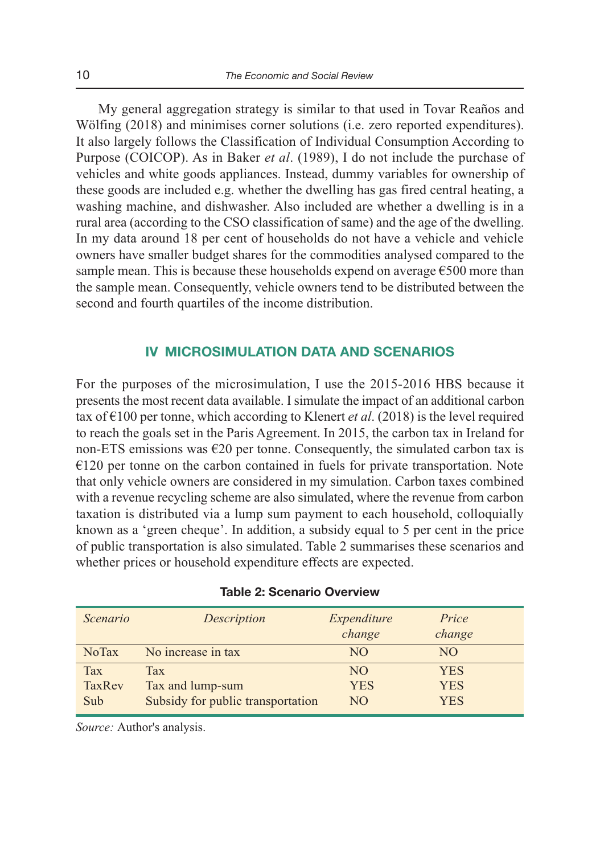My general aggregation strategy is similar to that used in Tovar Reaños and Wölfing (2018) and minimises corner solutions (i.e. zero reported expenditures). It also largely follows the Classification of Individual Consumption According to Purpose (COICOP). As in Baker *et al*. (1989), I do not include the purchase of vehicles and white goods appliances. Instead, dummy variables for ownership of these goods are included e.g. whether the dwelling has gas fired central heating, a washing machine, and dishwasher. Also included are whether a dwelling is in a rural area (according to the CSO classification of same) and the age of the dwelling. In my data around 18 per cent of households do not have a vehicle and vehicle owners have smaller budget shares for the commodities analysed compared to the sample mean. This is because these households expend on average  $\epsilon$ 500 more than the sample mean. Consequently, vehicle owners tend to be distributed between the second and fourth quartiles of the income distribution.

## **IV MICROSIMULATION DATA AND SCENARIOS**

For the purposes of the microsimulation, I use the 2015-2016 HBS because it presents the most recent data available. I simulate the impact of an additional carbon tax of  $\epsilon$ 100 per tonne, which according to Klenert *et al.* (2018) is the level required to reach the goals set in the Paris Agreement. In 2015, the carbon tax in Ireland for non-ETS emissions was €20 per tonne. Consequently, the simulated carbon tax is  $€120$  per tonne on the carbon contained in fuels for private transportation. Note that only vehicle owners are considered in my simulation. Carbon taxes combined with a revenue recycling scheme are also simulated, where the revenue from carbon taxation is distributed via a lump sum payment to each household, colloquially known as a 'green cheque'. In addition, a subsidy equal to 5 per cent in the price of public transportation is also simulated. Table 2 summarises these scenarios and whether prices or household expenditure effects are expected.

| Scenario     | Description                       | Expenditure<br>change | Price<br>change |
|--------------|-----------------------------------|-----------------------|-----------------|
| <b>NoTax</b> | No increase in tax                | NO                    | NO.             |
| <b>Tax</b>   | <b>Tax</b>                        | N <sub>O</sub>        | <b>YES</b>      |
| TaxRey       | Tax and lump-sum                  | YES                   | <b>YES</b>      |
| Sub          | Subsidy for public transportation | NO                    | YES             |

| <b>Table 2: Scenario Overview</b> |  |  |  |  |  |
|-----------------------------------|--|--|--|--|--|
|-----------------------------------|--|--|--|--|--|

*Source:* Author's analysis.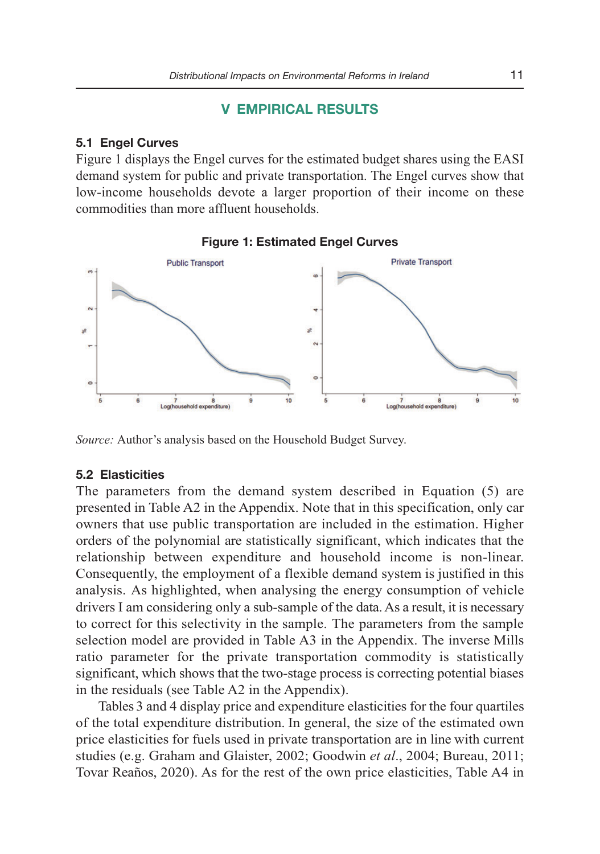# **V EMPIRICAL RESULTS**

#### **5.1 Engel Curves**

Figure 1 displays the Engel curves for the estimated budget shares using the EASI demand system for public and private transportation. The Engel curves show that low-income households devote a larger proportion of their income on these commodities than more affluent households.





*Source:* Author's analysis based on the Household Budget Survey.

#### **5.2 Elasticities**

The parameters from the demand system described in Equation (5) are presented in Table A2 in the Appendix. Note that in this specification, only car owners that use public transportation are included in the estimation. Higher orders of the polynomial are statistically significant, which indicates that the relationship between expenditure and household income is non-linear. Consequently, the employment of a flexible demand system is justified in this analysis. As highlighted, when analysing the energy consumption of vehicle drivers I am considering only a sub-sample of the data. As a result, it is necessary to correct for this selectivity in the sample. The parameters from the sample selection model are provided in Table A3 in the Appendix. The inverse Mills ratio parameter for the private transportation commodity is statistically significant, which shows that the two-stage process is correcting potential biases in the residuals (see Table A2 in the Appendix).

Tables 3 and 4 display price and expenditure elasticities for the four quartiles of the total expenditure distribution. In general, the size of the estimated own price elasticities for fuels used in private transportation are in line with current studies (e.g. Graham and Glaister, 2002; Goodwin *et al*., 2004; Bureau, 2011; Tovar Reaños, 2020). As for the rest of the own price elasticities, Table A4 in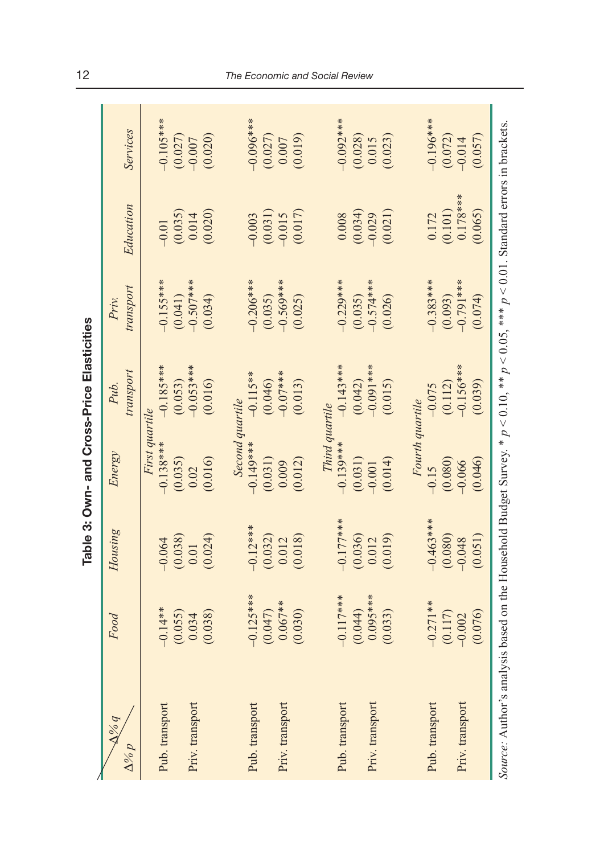| $\Delta\% q$                                                                                                                                 | Food        | Housing     | Energy          | Pub.        | Priv.       |            |             |
|----------------------------------------------------------------------------------------------------------------------------------------------|-------------|-------------|-----------------|-------------|-------------|------------|-------------|
| $\Delta\%p$                                                                                                                                  |             |             |                 | transport   | transport   | Education  | Services    |
|                                                                                                                                              |             |             | First quartile  |             |             |            |             |
| Pub. transport                                                                                                                               | $-0.14**$   | $-0.064$    | $-0.138***$     | $-0.185***$ | $-0.155***$ | $-0.01$    | $-0.105***$ |
|                                                                                                                                              | (0.055)     | (0.038)     | (0.035)         | (0.053)     | (0.041)     | (0.035)    | (0.027)     |
| Priv. transport                                                                                                                              | 0.034       | 0.01        | 0.02            | $-0.053***$ | $-0.507***$ | 0.014      | $-0.007$    |
|                                                                                                                                              | (0.038)     | (0.024)     | (0.016)         | (0.016)     | (0.034)     | (0.020)    | (0.020)     |
|                                                                                                                                              |             |             | Second quartile |             |             |            |             |
| Pub. transport                                                                                                                               | $-0.125***$ | $-0.12***$  | $-0.149***$     | $-0.115**$  | $0.206***$  | $-0.003$   | $-0.096***$ |
|                                                                                                                                              | (0.047)     | (0.032)     | (0.031)         | (0.046)     | (0.035)     | (0.031)    | (0.027)     |
| Priv. transport                                                                                                                              | $0.067**$   | 0.012       | 0.009           | $-0.07***$  | $-0.569***$ | $-0.015$   | 0.007       |
|                                                                                                                                              | (0.030)     | (0.018)     | (0.012)         | (0.013)     | (0.025)     | (0.017)    | (0.019)     |
|                                                                                                                                              |             |             | Third quartile  |             |             |            |             |
| Pub. transport                                                                                                                               | $-0.117***$ | $-0.177***$ | $-0.139***$     | $-0.143***$ | $-0.229***$ | 0.008      | $-0.092***$ |
|                                                                                                                                              | (0.044)     | (0.036)     | (0.031)         | (0.042)     | (0.035)     | (0.034)    | (0.028)     |
| Priv. transport                                                                                                                              | $0.095***$  | 0.012       | $-0.001$        | $-0.091***$ | $-0.574***$ | $-0.029$   | 0.015       |
|                                                                                                                                              | (0.033)     | (0.019)     | (0.014)         | (0.015)     | (0.026)     | (0.021)    | (0.023)     |
|                                                                                                                                              |             |             | Fourth quartile |             |             |            |             |
| Pub. transport                                                                                                                               | $-0.271**$  | $-0.463***$ | $-0.15$         | $-0.075$    | $-0.383***$ | 0.172      | $-0.196***$ |
|                                                                                                                                              | (0.117)     | (0.080)     | (0.080)         | (0.112)     | (0.093)     | (0.101)    | (0.072)     |
| Priv. transport                                                                                                                              | $-0.002$    | $-0.048$    | $-0.066$        | $-0.156***$ | $-0.791***$ | $0.178***$ | $-0.014$    |
|                                                                                                                                              | (0.076)     | (0.051)     | (0.046)         | (0.039)     | (0.074)     | (0.065)    | (0.057)     |
| Source: Author's analysis based on the Household Budget Survey. * $p < 0.10$ , ** $p < 0.05$ , *** $p < 0.01$ . Standard errors in brackets. |             |             |                 |             |             |            |             |

Table 3: Own- and Cross-Price Elasticities **Table 3: Own- and Cross-Price Elasticities**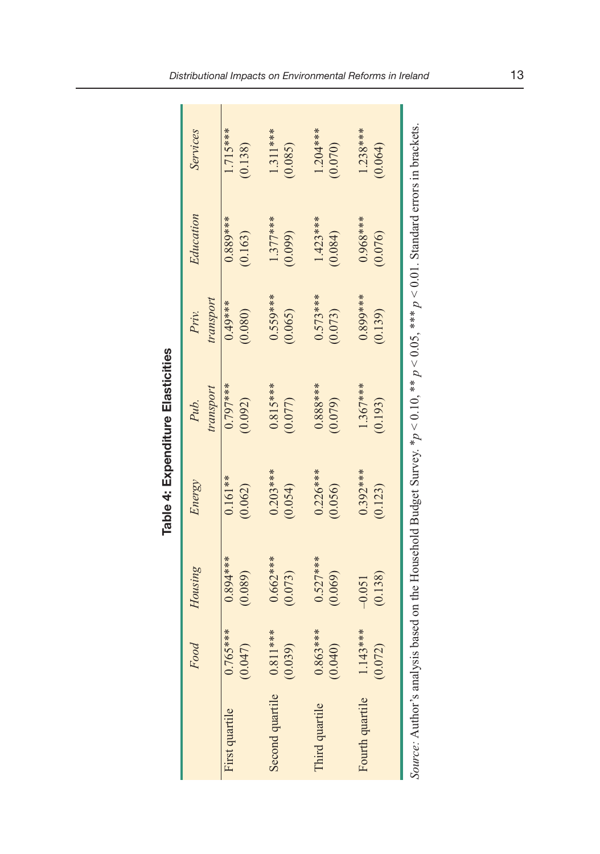| ı<br>٠ |  |
|--------|--|
| l<br>ı |  |
| l      |  |
|        |  |

|                                                                                                                                             | Food                                  | Housing               | Energy                | Pub.                  | Priv.                 | Education             | Services              |
|---------------------------------------------------------------------------------------------------------------------------------------------|---------------------------------------|-----------------------|-----------------------|-----------------------|-----------------------|-----------------------|-----------------------|
|                                                                                                                                             |                                       |                       |                       | transport             | transport             |                       |                       |
| First quartile                                                                                                                              | 5****<br>(0.047)<br>0.76              | $0.894***$<br>(0.089) | $0.161**$<br>(0.062)  | $0.797***$<br>(0.092) | $0.49***$<br>(0.080)  | $0.889***$<br>(0.163) | $1.715***$<br>(0.138) |
|                                                                                                                                             |                                       |                       |                       |                       |                       |                       |                       |
| Second quartile                                                                                                                             | $0.811***$<br>$\widehat{e}$<br>(0.03) | $0.662***$<br>(0.073) | $0.203***$<br>(0.054) | $0.815***$<br>(0.077) | $0.559***$<br>(0.065) | $1.377***$<br>(0.099) | $1.311***$<br>(0.085) |
|                                                                                                                                             |                                       |                       |                       |                       |                       |                       |                       |
| Third quartile                                                                                                                              | 53***<br>0.86                         | $0.527***$            | $0.226***$            | $0.888***$            | $0.573***$            | $1.423***$            | $1.204***$            |
|                                                                                                                                             | (0.040)                               | (0.069)               | (0.056)               | (0.079)               | (0.073)               | (0.084)               | (0.070)               |
| Fourth quartile                                                                                                                             | $1.143***$                            | $-0.051$              | $0.392***$            | $1.367***$            | $0.899***$            | $0.968***$            | $1.238***$            |
|                                                                                                                                             | (0.072)                               | (0.138)               | (0.123)               | (0.193)               | (0.139)               | (0.076)               | (0.064)               |
| Source: Author's analysis based on the Household Budget Survey. * $p < 0.10$ , ** $p < 0.05$ , *** $p < 0.01$ . Standard errors in brackets |                                       |                       |                       |                       |                       |                       |                       |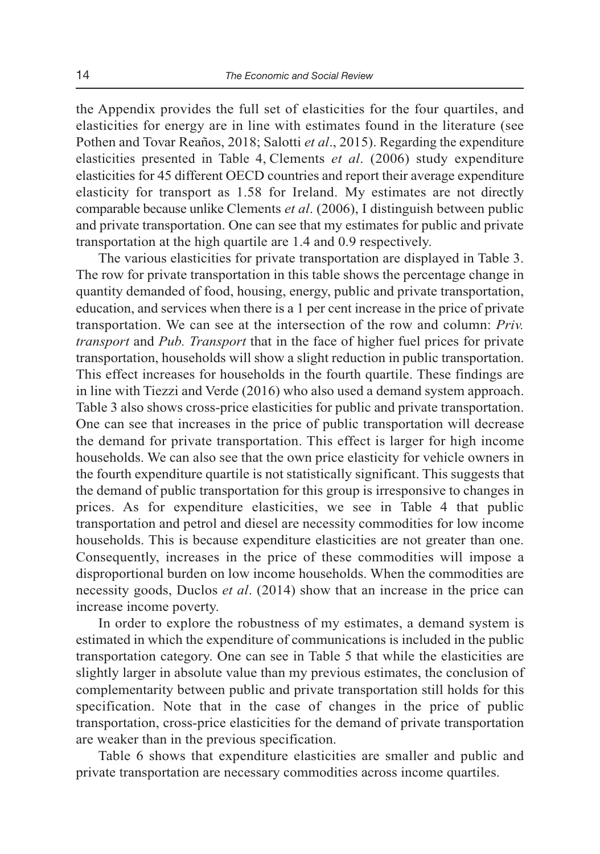the Appendix provides the full set of elasticities for the four quartiles, and elasticities for energy are in line with estimates found in the literature (see Pothen and Tovar Reaños, 2018; Salotti *et al.*, 2015). Regarding the expenditure elasticities presented in Table 4, Clements *et al*. (2006) study expenditure elasticities for 45 different OECD countries and report their average expenditure elasticity for transport as 1.58 for Ireland. My estimates are not directly comparable because unlike Clements *et al*. (2006), I distinguish between public and private transportation. One can see that my estimates for public and private transportation at the high quartile are 1.4 and 0.9 respectively.

The various elasticities for private transportation are displayed in Table 3. The row for private transportation in this table shows the percentage change in quantity demanded of food, housing, energy, public and private transportation, education, and services when there is a 1 per cent increase in the price of private transportation. We can see at the intersection of the row and column: *Priv. transport* and *Pub. Transport* that in the face of higher fuel prices for private transportation, households will show a slight reduction in public transportation. This effect increases for households in the fourth quartile. These findings are in line with Tiezzi and Verde (2016) who also used a demand system approach. Table 3 also shows cross-price elasticities for public and private transportation. One can see that increases in the price of public transportation will decrease the demand for private transportation. This effect is larger for high income households. We can also see that the own price elasticity for vehicle owners in the fourth expenditure quartile is not statistically significant. This suggests that the demand of public transportation for this group is irresponsive to changes in prices. As for expenditure elasticities, we see in Table 4 that public transportation and petrol and diesel are necessity commodities for low income households. This is because expenditure elasticities are not greater than one. Consequently, increases in the price of these commodities will impose a disproportional burden on low income households. When the commodities are necessity goods, Duclos *et al*. (2014) show that an increase in the price can increase income poverty.

In order to explore the robustness of my estimates, a demand system is estimated in which the expenditure of communications is included in the public transportation category. One can see in Table 5 that while the elasticities are slightly larger in absolute value than my previous estimates, the conclusion of complementarity between public and private transportation still holds for this specification. Note that in the case of changes in the price of public transportation, cross-price elasticities for the demand of private transportation are weaker than in the previous specification.

Table 6 shows that expenditure elasticities are smaller and public and private transportation are necessary commodities across income quartiles.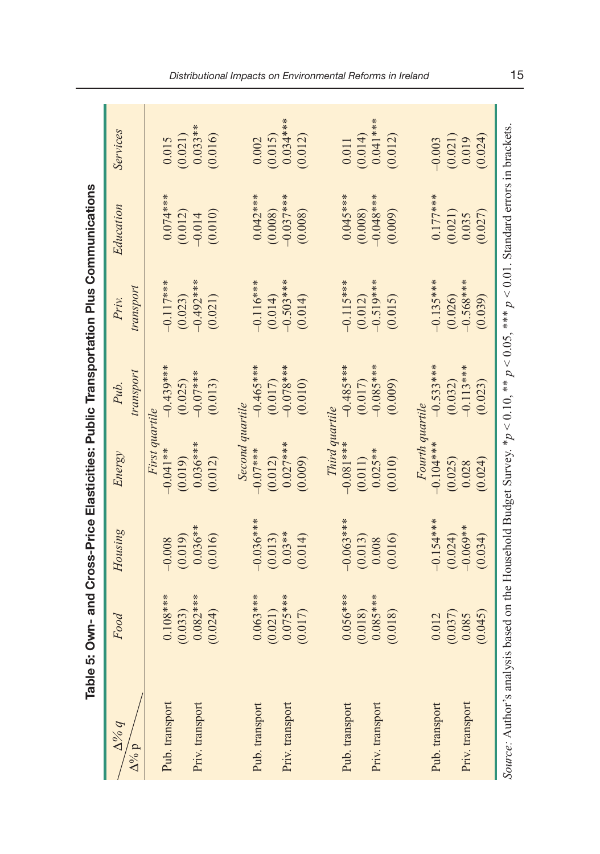|                                                           |            |             |                 | Table 5: Own- and Cross-Price Elasticities: Public Transportation Plus Communications |                    |                                                                                                                       |            |
|-----------------------------------------------------------|------------|-------------|-----------------|---------------------------------------------------------------------------------------|--------------------|-----------------------------------------------------------------------------------------------------------------------|------------|
| $\Delta\frac{\partial Q}{\partial q}$<br>$\Delta^{0/6}$ p | Food       | Housing     | Energy          | transport<br>Pub.                                                                     | transport<br>Priv. | Education                                                                                                             | Services   |
|                                                           |            |             | First quartile  |                                                                                       |                    |                                                                                                                       |            |
| Pub. transport                                            | $0.108***$ | $-0.008$    | $-0.041**$      | ⋇<br>$-0.439**$                                                                       | $-0.117***$        | $0.074***$                                                                                                            | 0.015      |
|                                                           | (0.033)    | (0.019)     | (0.019)         | (0.025)                                                                               | (0.023)            | (0.012)                                                                                                               | (0.021)    |
| Priv. transport                                           | $0.082***$ | $0.036**$   | $0.036***$      | $-0.07***$                                                                            | $-0.492***$        | $-0.014$                                                                                                              | $0.033**$  |
|                                                           | (0.024)    | (0.016)     | (0.012)         | (0.013)                                                                               | (0.021)            | (0.010)                                                                                                               | (0.016)    |
|                                                           |            |             | Second quartile |                                                                                       |                    |                                                                                                                       |            |
| Pub. transport                                            | $0.063***$ | $-0.036***$ | $-0.07***$      | $-0.465***$                                                                           | $-0.116***$        | $0.042***$                                                                                                            | 0.002      |
|                                                           | (0.021)    | (0.013)     | (0.012)         | (0.017)                                                                               | (0.014)            | (0.008)                                                                                                               | (0.015)    |
| Priv. transport                                           | $0.075***$ | $0.03**$    | $0.027**$       | $*$<br>$-0.078**$                                                                     | $-0.503***$        | $-0.037$ ***                                                                                                          | $0.034***$ |
|                                                           | (0.017)    | (0.014)     | (0.009)         | (0.010)                                                                               | (0.014)            | (0.008)                                                                                                               | (0.012)    |
|                                                           |            |             | Third quartile  |                                                                                       |                    |                                                                                                                       |            |
| Pub. transport                                            | $0.056***$ | $-0.063***$ | $-0.081***$     | $-0.485***$                                                                           | $-0.115***$        | $0.045***$                                                                                                            | 0.011      |
|                                                           | (0.018)    | (0.013)     | (0.011)         | (0.017)                                                                               | (0.012)            | (0.008)                                                                                                               | (0.014)    |
| Priv. transport                                           | $0.085***$ | 0.008       | $0.025**$       | $*$<br>$-0.085**$                                                                     | $-0.519***$        | $-0.048***$                                                                                                           | $0.041***$ |
|                                                           | (0.018)    | (0.016)     | (0.010)         | (0.009)                                                                               | (0.015)            | (0.009)                                                                                                               | (0.012)    |
|                                                           |            |             | Fourth quartile |                                                                                       |                    |                                                                                                                       |            |
| Pub. transport                                            | 0.012      | $-0.154***$ | $-0.104***$     | $-0.533***$                                                                           | $-0.135***$        | $0.177***$                                                                                                            | $-0.003$   |
|                                                           | (0.037)    | (0.024)     | (0.025)         | (0.032)                                                                               | (0.026)            | (0.021)                                                                                                               | (0.021)    |
| Priv. transport                                           | 0.085      | $-0.069**$  | 0.028           | $-0.113**$                                                                            | $-0.568***$        | 0.035                                                                                                                 | 0.019      |
|                                                           | (0.045)    | (0.034)     | (0.024)         | (0.023)                                                                               | (0.039)            | (0.027)                                                                                                               | (0.024)    |
| Source: Author's analys                                   |            |             |                 |                                                                                       |                    | is based on the Household Budget Survey. * $p < 0.10$ , * * $p < 0.05$ , * * $p < 0.01$ . Standard errors in brackets |            |

Distributional Impacts on Environmental Reforms in Ireland 15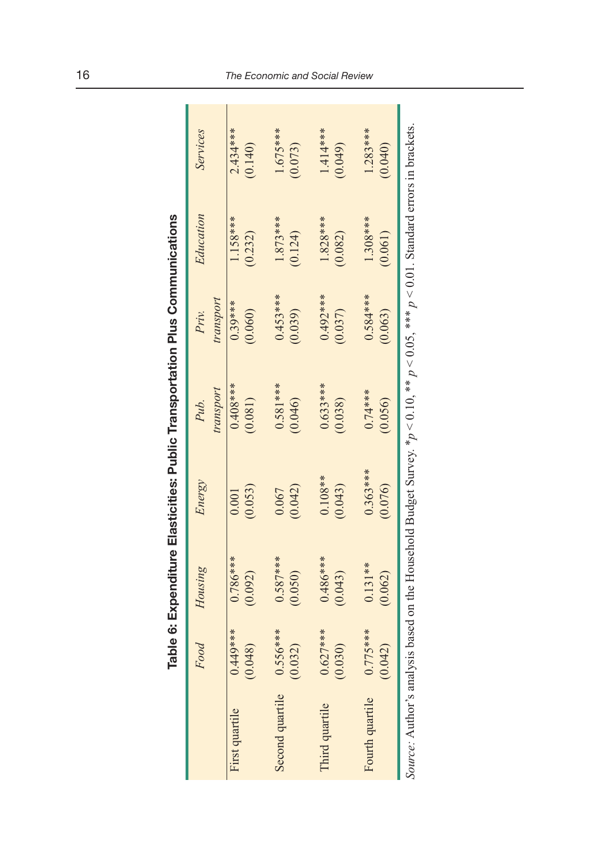| : |
|---|
|   |
|   |
|   |
|   |
|   |

|                                                                                                                                             | ₽          |            |            | ible 6: Expenditure Elasticities: Public Transportation Plus Communications |            |            |            |
|---------------------------------------------------------------------------------------------------------------------------------------------|------------|------------|------------|-----------------------------------------------------------------------------|------------|------------|------------|
|                                                                                                                                             | Food       | Housing    | Energy     | Pub.                                                                        | Priv.      | Education  | Services   |
|                                                                                                                                             |            |            |            | transport                                                                   | transport  |            |            |
| First quartile                                                                                                                              | $0.449***$ | $0.786***$ | 0.001      | 0.408***                                                                    | $0.39***$  | 1.158****  | $2.434***$ |
|                                                                                                                                             | (0.048)    | (0.092)    | (0.053)    | (0.081)                                                                     | (0.060)    | (0.232)    | (0.140)    |
| Second quartile 0.556***                                                                                                                    |            | $0.587***$ | 0.067      | $0.581***$                                                                  | $0.453***$ | $1.873***$ | $1.675***$ |
|                                                                                                                                             | (0.032)    | (0.050)    | (0.042)    | (0.046)                                                                     | (0.039)    | (0.124)    | (0.073)    |
| Third quartile                                                                                                                              | $0.627***$ | $0.486***$ | $0.108**$  | $0.633***$                                                                  | $0.492***$ | $1.828***$ | $1.414***$ |
|                                                                                                                                             | (0.030)    | (0.043)    | (0.043)    | (0.038)                                                                     | (0.037)    | (0.082)    | (0.049)    |
| Fourth quartile                                                                                                                             | $0.775***$ | $0.131**$  | $0.363***$ | $0.74***$                                                                   | $0.584***$ | $1.308***$ | $1.283***$ |
|                                                                                                                                             | (0.042)    | (0.062)    | (0.076)    | (0.056)                                                                     | (0.063)    | (0.061)    | 0.040)     |
| Source: Author's analysis based on the Household Budget Survey. * $p < 0.10$ , ** $p < 0.05$ , *** $p < 0.01$ . Standard errors in brackets |            |            |            |                                                                             |            |            |            |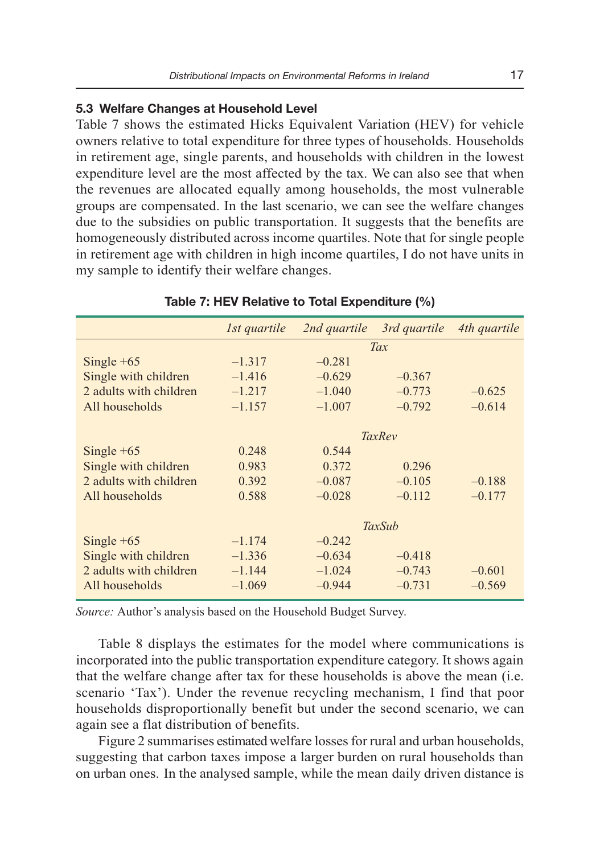#### **5.3 Welfare Changes at Household Level**

Table 7 shows the estimated Hicks Equivalent Variation (HEV) for vehicle owners relative to total expenditure for three types of households. Households in retirement age, single parents, and households with children in the lowest expenditure level are the most affected by the tax. We can also see that when the revenues are allocated equally among households, the most vulnerable groups are compensated. In the last scenario, we can see the welfare changes due to the subsidies on public transportation. It suggests that the benefits are homogeneously distributed across income quartiles. Note that for single people in retirement age with children in high income quartiles, I do not have units in my sample to identify their welfare changes.

|                        | 1st quartile | 2nd quartile | 3rd quartile  | 4th quartile |
|------------------------|--------------|--------------|---------------|--------------|
|                        |              |              | Tax           |              |
| Single $+65$           | $-1.317$     | $-0.281$     |               |              |
| Single with children   | $-1.416$     | $-0.629$     | $-0.367$      |              |
| 2 adults with children | $-1.217$     | $-1.040$     | $-0.773$      | $-0.625$     |
| All households         | $-1.157$     | $-1.007$     | $-0.792$      | $-0.614$     |
|                        |              |              |               |              |
|                        |              |              | <b>TaxRev</b> |              |
| Single $+65$           | 0.248        | 0.544        |               |              |
| Single with children   | 0.983        | 0.372        | 0.296         |              |
| 2 adults with children | 0.392        | $-0.087$     | $-0.105$      | $-0.188$     |
| All households         | 0.588        | $-0.028$     | $-0.112$      | $-0.177$     |
|                        |              |              |               |              |
|                        |              |              | <b>TaxSub</b> |              |
| Single $+65$           | $-1.174$     | $-0.242$     |               |              |
| Single with children   | $-1.336$     | $-0.634$     | $-0.418$      |              |
| 2 adults with children | $-1.144$     | $-1.024$     | $-0.743$      | $-0.601$     |
| All households         | $-1.069$     | $-0.944$     | $-0.731$      | $-0.569$     |
|                        |              |              |               |              |

#### **Table 7: HEV Relative to Total Expenditure (%)**

*Source:* Author's analysis based on the Household Budget Survey.

Table 8 displays the estimates for the model where communications is incorporated into the public transportation expenditure category. It shows again that the welfare change after tax for these households is above the mean (i.e. scenario 'Tax'). Under the revenue recycling mechanism, I find that poor households disproportionally benefit but under the second scenario, we can again see a flat distribution of benefits.

Figure 2 summarises estimated welfare losses for rural and urban households, suggesting that carbon taxes impose a larger burden on rural households than on urban ones. In the analysed sample, while the mean daily driven distance is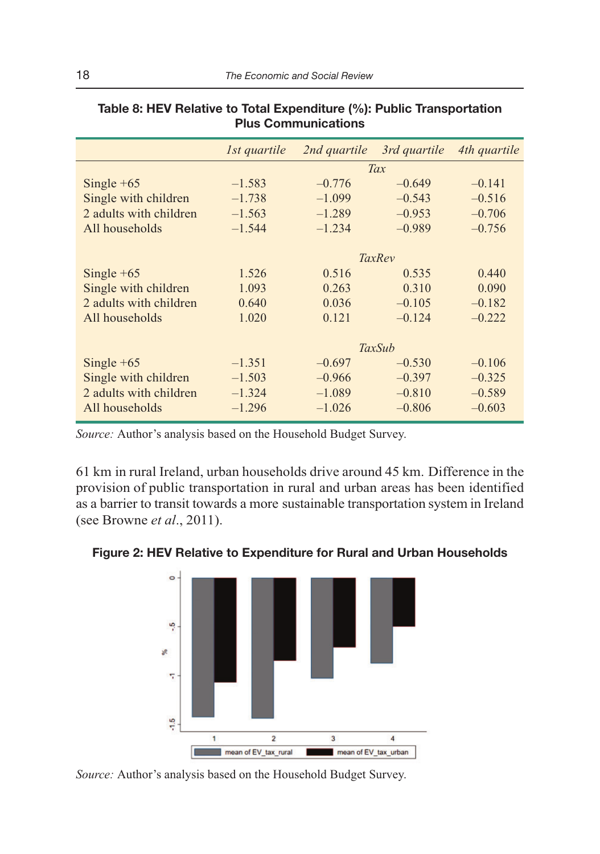|                        | 1st quartile | 2nd quartile | 3rd quartile | 4th quartile |
|------------------------|--------------|--------------|--------------|--------------|
|                        |              |              | Tax          |              |
| Single $+65$           | $-1.583$     | $-0.776$     | $-0.649$     | $-0.141$     |
| Single with children   | $-1.738$     | $-1.099$     | $-0.543$     | $-0.516$     |
| 2 adults with children | $-1.563$     | $-1.289$     | $-0.953$     | $-0.706$     |
| All households         | $-1.544$     | $-1.234$     | $-0.989$     | $-0.756$     |
|                        |              |              |              |              |
|                        |              |              | TaxRev       |              |
| Single $+65$           | 1.526        | 0.516        | 0.535        | 0.440        |
| Single with children   | 1.093        | 0.263        | 0.310        | 0.090        |
| 2 adults with children | 0.640        | 0.036        | $-0.105$     | $-0.182$     |
| All households         | 1.020        | 0.121        | $-0.124$     | $-0.222$     |
|                        |              |              |              |              |
|                        |              |              | TaxSub       |              |
| Single $+65$           | $-1.351$     | $-0.697$     | $-0.530$     | $-0.106$     |
| Single with children   | $-1.503$     | $-0.966$     | $-0.397$     | $-0.325$     |
| 2 adults with children | $-1.324$     | $-1.089$     | $-0.810$     | $-0.589$     |
| All households         | $-1.296$     | $-1.026$     | $-0.806$     | $-0.603$     |

## **Table 8: HEV Relative to Total Expenditure (%): Public Transportation Plus Communications**

*Source:* Author's analysis based on the Household Budget Survey.

61 km in rural Ireland, urban households drive around 45 km. Difference in the provision of public transportation in rural and urban areas has been identified as a barrier to transit towards a more sustainable transportation system in Ireland (see Browne *et al*., 2011).

#### **Figure 2: HEV Relative to Expenditure for Rural and Urban Households**



*Source:* Author's analysis based on the Household Budget Survey.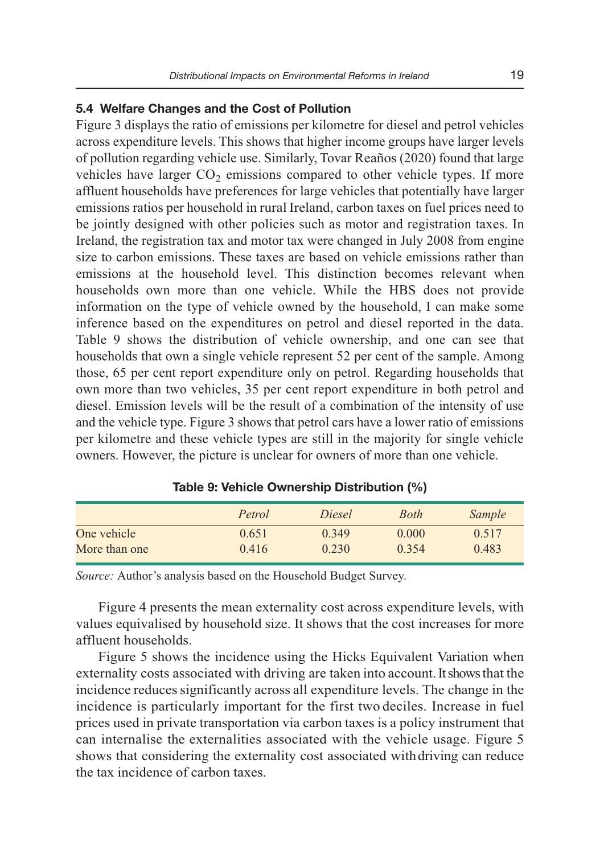#### **5.4 Welfare Changes and the Cost of Pollution**

Figure 3 displays the ratio of emissions per kilometre for diesel and petrol vehicles across expenditure levels. This shows that higher income groups have larger levels of pollution regarding vehicle use. Similarly, Tovar Reaños (2020) found that large vehicles have larger  $CO<sub>2</sub>$  emissions compared to other vehicle types. If more affluent households have preferences for large vehicles that potentially have larger emissions ratios per household in rural Ireland, carbon taxes on fuel prices need to be jointly designed with other policies such as motor and registration taxes. In Ireland, the registration tax and motor tax were changed in July 2008 from engine size to carbon emissions. These taxes are based on vehicle emissions rather than emissions at the household level. This distinction becomes relevant when households own more than one vehicle. While the HBS does not provide information on the type of vehicle owned by the household, I can make some inference based on the expenditures on petrol and diesel reported in the data. Table 9 shows the distribution of vehicle ownership, and one can see that households that own a single vehicle represent 52 per cent of the sample. Among those, 65 per cent report expenditure only on petrol. Regarding households that own more than two vehicles, 35 per cent report expenditure in both petrol and diesel. Emission levels will be the result of a combination of the intensity of use and the vehicle type. Figure 3 shows that petrol cars have a lower ratio of emissions per kilometre and these vehicle types are still in the majority for single vehicle owners. However, the picture is unclear for owners of more than one vehicle.

|               | Petrol | Diesel | Both  | <i>Sample</i> |
|---------------|--------|--------|-------|---------------|
| One vehicle   | 0.651  | 0.349  | 0.000 | 0.517         |
| More than one | 0.416  | 0.230  | 0.354 | 0.483         |

| Table 9: Vehicle Ownership Distribution (%) |  |  |  |
|---------------------------------------------|--|--|--|
|---------------------------------------------|--|--|--|

*Source:* Author's analysis based on the Household Budget Survey.

Figure 4 presents the mean externality cost across expenditure levels, with values equivalised by household size. It shows that the cost increases for more affluent households.

Figure 5 shows the incidence using the Hicks Equivalent Variation when externality costs associated with driving are taken into account. It shows that the incidence reduces significantly across all expenditure levels. The change in the incidence is particularly important for the first two deciles. Increase in fuel prices used in private transportation via carbon taxes is a policy instrument that can internalise the externalities associated with the vehicle usage. Figure 5 shows that considering the externality cost associated with driving can reduce the tax incidence of carbon taxes.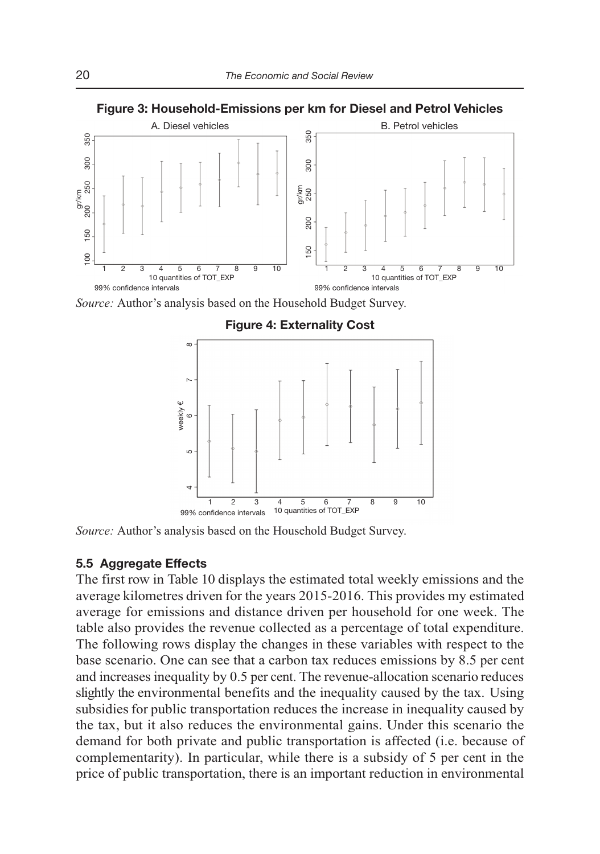

**Figure 3: Household-Emissions per km for Diesel and Petrol Vehicles** 

*Source:* Author's analysis based on the Household Budget Survey.



#### **Figure 4: Externality Cost**

*Source:* Author's analysis based on the Household Budget Survey.

#### **5.5 Aggregate Effects**

The first row in Table 10 displays the estimated total weekly emissions and the average kilometres driven for the years 2015-2016. This provides my estimated average for emissions and distance driven per household for one week. The table also provides the revenue collected as a percentage of total expenditure. The following rows display the changes in these variables with respect to the base scenario. One can see that a carbon tax reduces emissions by 8.5 per cent and increases inequality by 0.5 per cent. The revenue-allocation scenario reduces slightly the environmental benefits and the inequality caused by the tax. Using subsidies for public transportation reduces the increase in inequality caused by the tax, but it also reduces the environmental gains. Under this scenario the demand for both private and public transportation is affected (i.e. because of complementarity). In particular, while there is a subsidy of 5 per cent in the price of public transportation, there is an important reduction in environmental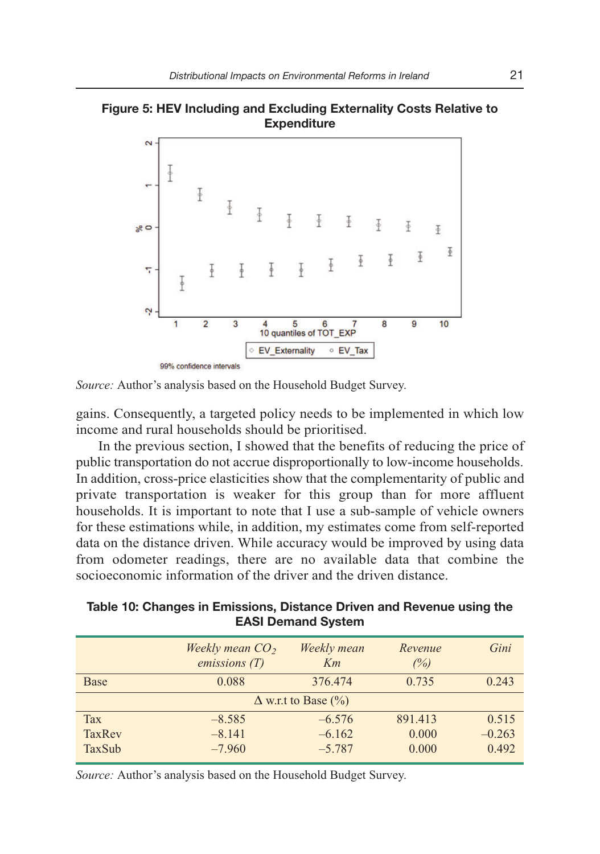



*Source:* Author's analysis based on the Household Budget Survey.

gains. Consequently, a targeted policy needs to be implemented in which low income and rural households should be prioritised.

In the previous section, I showed that the benefits of reducing the price of public transportation do not accrue disproportionally to low-income households. In addition, cross-price elasticities show that the complementarity of public and private transportation is weaker for this group than for more affluent households. It is important to note that I use a sub-sample of vehicle owners for these estimations while, in addition, my estimates come from self-reported data on the distance driven. While accuracy would be improved by using data from odometer readings, there are no available data that combine the socioeconomic information of the driver and the driven distance.

**Table 10: Changes in Emissions, Distance Driven and Revenue using the EASI Demand System** 

| Weekly mean $CO2$<br>emissions(T) | Weekly mean<br>Km | Revenue<br>(%)             | Gini     |
|-----------------------------------|-------------------|----------------------------|----------|
| 0.088                             | 376.474           | 0.735                      | 0.243    |
|                                   |                   |                            |          |
| $-8.585$                          | $-6.576$          | 891.413                    | 0.515    |
| $-8.141$                          | $-6.162$          | 0.000                      | $-0.263$ |
| $-7.960$                          | $-5.787$          | 0.000                      | 0.492    |
|                                   |                   | $\Delta$ w.r.t to Base (%) |          |

*Source:* Author's analysis based on the Household Budget Survey.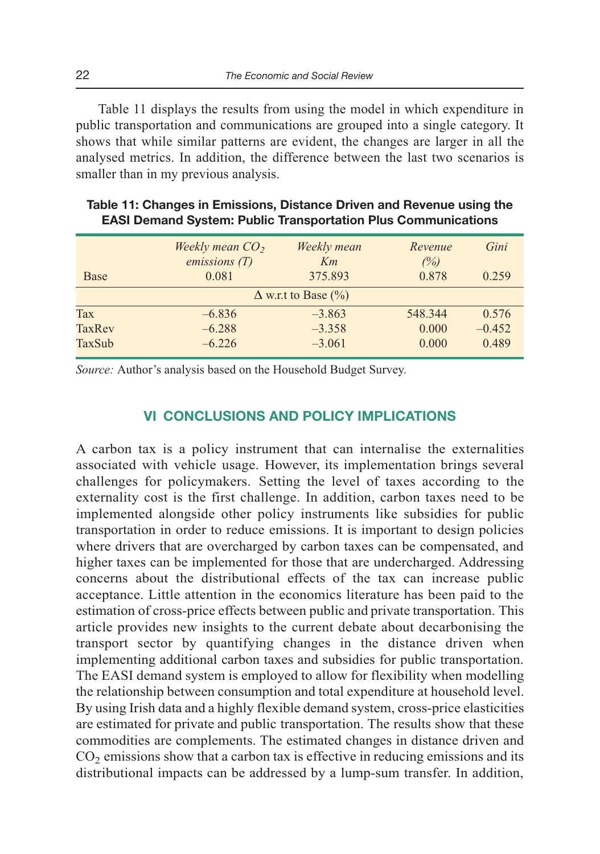Table 11 displays the results from using the model in which expenditure in public transportation and communications are grouped into a single category. It shows that while similar patterns are evident, the changes are larger in all the analysed metrics. In addition, the difference between the last two scenarios is smaller than in my previous analysis.

|               | Weekly mean $CO2$ | Weekly mean                | Revenue | Gini     |
|---------------|-------------------|----------------------------|---------|----------|
|               | emissions(T)      | Km                         | (%)     |          |
| <b>Base</b>   | 0.081             | 375.893                    | 0.878   | 0.259    |
|               |                   | $\Delta$ w.r.t to Base (%) |         |          |
| Tax           | $-6.836$          | $-3.863$                   | 548.344 | 0.576    |
| <b>TaxRev</b> | $-6.288$          | $-3.358$                   | 0.000   | $-0.452$ |
| TaxSub        | $-6.226$          | $-3.061$                   | 0.000   | 0.489    |
|               |                   |                            |         |          |

| Table 11: Changes in Emissions, Distance Driven and Revenue using the |
|-----------------------------------------------------------------------|
| <b>EASI Demand System: Public Transportation Plus Communications</b>  |

*Source:* Author's analysis based on the Household Budget Survey.

# **VI CONCLUSIONS AND POLICY IMPLICATIONS**

A carbon tax is a policy instrument that can internalise the externalities associated with vehicle usage. However, its implementation brings several challenges for policymakers. Setting the level of taxes according to the externality cost is the first challenge. In addition, carbon taxes need to be implemented alongside other policy instruments like subsidies for public transportation in order to reduce emissions. It is important to design policies where drivers that are overcharged by carbon taxes can be compensated, and higher taxes can be implemented for those that are undercharged. Addressing concerns about the distributional effects of the tax can increase public acceptance. Little attention in the economics literature has been paid to the estimation of cross-price effects between public and private transportation. This article provides new insights to the current debate about decarbonising the transport sector by quantifying changes in the distance driven when implementing additional carbon taxes and subsidies for public transportation. The EASI demand system is employed to allow for flexibility when modelling the relationship between consumption and total expenditure at household level. By using Irish data and a highly flexible demand system, cross-price elasticities are estimated for private and public transportation. The results show that these commodities are complements. The estimated changes in distance driven and  $CO<sub>2</sub>$  emissions show that a carbon tax is effective in reducing emissions and its distributional impacts can be addressed by a lump-sum transfer. In addition,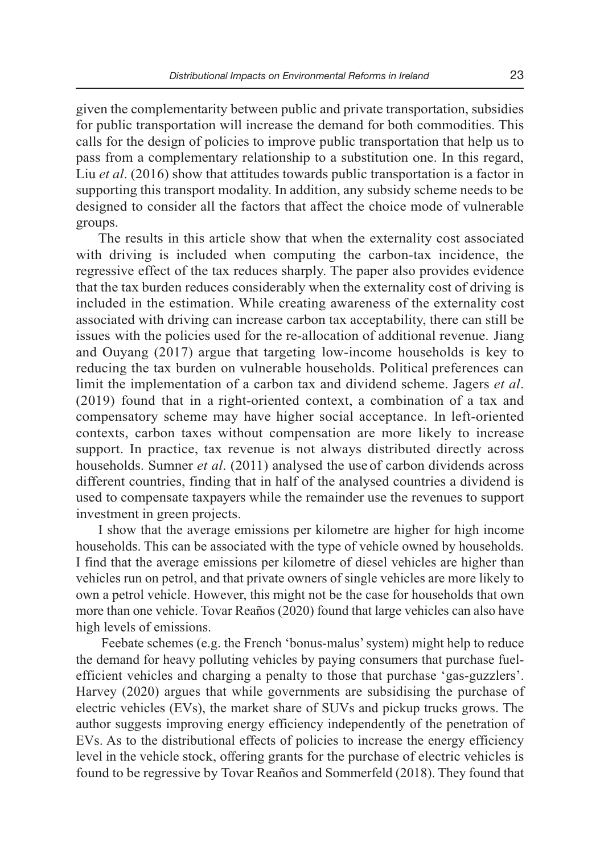given the complementarity between public and private transportation, subsidies for public transportation will increase the demand for both commodities. This calls for the design of policies to improve public transportation that help us to pass from a complementary relationship to a substitution one. In this regard, Liu *et al*. (2016) show that attitudes towards public transportation is a factor in supporting this transport modality. In addition, any subsidy scheme needs to be designed to consider all the factors that affect the choice mode of vulnerable groups.

The results in this article show that when the externality cost associated with driving is included when computing the carbon-tax incidence, the regressive effect of the tax reduces sharply. The paper also provides evidence that the tax burden reduces considerably when the externality cost of driving is included in the estimation. While creating awareness of the externality cost associated with driving can increase carbon tax acceptability, there can still be issues with the policies used for the re-allocation of additional revenue. Jiang and Ouyang (2017) argue that targeting low-income households is key to reducing the tax burden on vulnerable households. Political preferences can limit the implementation of a carbon tax and dividend scheme. Jagers *et al*. (2019) found that in a right-oriented context, a combination of a tax and compensatory scheme may have higher social acceptance. In left-oriented contexts, carbon taxes without compensation are more likely to increase support. In practice, tax revenue is not always distributed directly across households. Sumner *et al*. (2011) analysed the use of carbon dividends across different countries, finding that in half of the analysed countries a dividend is used to compensate taxpayers while the remainder use the revenues to support investment in green projects.

I show that the average emissions per kilometre are higher for high income households. This can be associated with the type of vehicle owned by households. I find that the average emissions per kilometre of diesel vehicles are higher than vehicles run on petrol, and that private owners of single vehicles are more likely to own a petrol vehicle. However, this might not be the case for households that own more than one vehicle. Tovar Reaños (2020) found that large vehicles can also have high levels of emissions.

 Feebate schemes (e.g. the French 'bonus-malus' system) might help to reduce the demand for heavy polluting vehicles by paying consumers that purchase fuelefficient vehicles and charging a penalty to those that purchase 'gas-guzzlers'. Harvey (2020) argues that while governments are subsidising the purchase of electric vehicles (EVs), the market share of SUVs and pickup trucks grows. The author suggests improving energy efficiency independently of the penetration of EVs. As to the distributional effects of policies to increase the energy efficiency level in the vehicle stock, offering grants for the purchase of electric vehicles is found to be regressive by Tovar Reaños and Sommerfeld (2018). They found that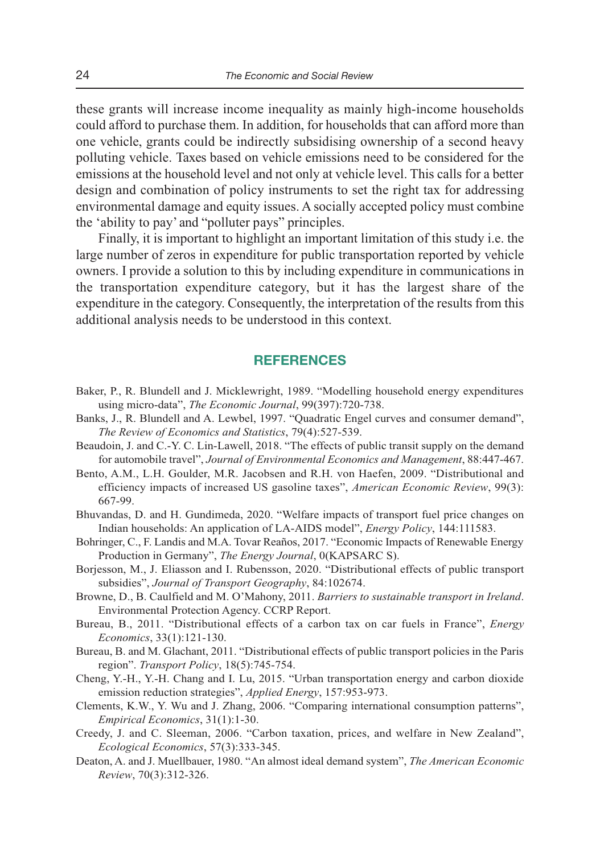these grants will increase income inequality as mainly high-income households could afford to purchase them. In addition, for households that can afford more than one vehicle, grants could be indirectly subsidising ownership of a second heavy polluting vehicle. Taxes based on vehicle emissions need to be considered for the emissions at the household level and not only at vehicle level. This calls for a better design and combination of policy instruments to set the right tax for addressing environmental damage and equity issues. A socially accepted policy must combine the 'ability to pay' and "polluter pays" principles.

Finally, it is important to highlight an important limitation of this study i.e. the large number of zeros in expenditure for public transportation reported by vehicle owners. I provide a solution to this by including expenditure in communications in the transportation expenditure category, but it has the largest share of the expenditure in the category. Consequently, the interpretation of the results from this additional analysis needs to be understood in this context.

# **REFERENCES**

- Baker, P., R. Blundell and J. Micklewright, 1989. "Modelling household energy expenditures using micro-data", *The Economic Journal*, 99(397):720-738.
- Banks, J., R. Blundell and A. Lewbel, 1997. "Quadratic Engel curves and consumer demand", *The Review of Economics and Statistics*, 79(4):527-539.
- Beaudoin, J. and C.-Y. C. Lin-Lawell, 2018. "The effects of public transit supply on the demand for automobile travel", *Journal of Environmental Economics and Management*, 88:447-467.
- Bento, A.M., L.H. Goulder, M.R. Jacobsen and R.H. von Haefen, 2009. "Distributional and efficiency impacts of increased US gasoline taxes", *American Economic Review*, 99(3): 667-99.
- Bhuvandas, D. and H. Gundimeda, 2020. "Welfare impacts of transport fuel price changes on Indian households: An application of LA-AIDS model", *Energy Policy*, 144:111583.
- Bohringer, C., F. Landis and M.A. Tovar Reaños, 2017. "Economic Impacts of Renewable Energy Production in Germany", *The Energy Journal*, 0(KAPSARC S).
- Borjesson, M., J. Eliasson and I. Rubensson, 2020. "Distributional effects of public transport subsidies", *Journal of Transport Geography*, 84:102674.
- Browne, D., B. Caulfield and M. O'Mahony, 2011. *Barriers to sustainable transport in Ireland*. Environmental Protection Agency. CCRP Report.
- Bureau, B., 2011. "Distributional effects of a carbon tax on car fuels in France", *Energy Economics*, 33(1):121-130.
- Bureau, B. and M. Glachant, 2011. "Distributional effects of public transport policies in the Paris region". *Transport Policy*, 18(5):745-754.
- Cheng, Y.-H., Y.-H. Chang and I. Lu, 2015. "Urban transportation energy and carbon dioxide emission reduction strategies", *Applied Energy*, 157:953-973.
- Clements, K.W., Y. Wu and J. Zhang, 2006. "Comparing international consumption patterns", *Empirical Economics*, 31(1):1-30.
- Creedy, J. and C. Sleeman, 2006. "Carbon taxation, prices, and welfare in New Zealand", *Ecological Economics*, 57(3):333-345.
- Deaton, A. and J. Muellbauer, 1980. "An almost ideal demand system", *The American Economic Review*, 70(3):312-326.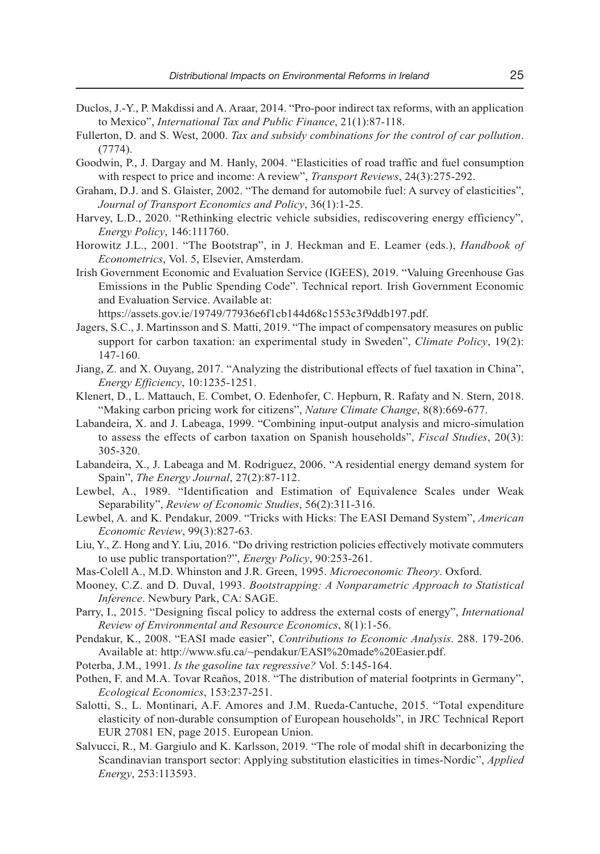- Duclos, J.-Y., P. Makdissi and A. Araar, 2014. "Pro-poor indirect tax reforms, with an application to Mexico", *International Tax and Public Finance*, 21(1):87-118.
- Fullerton, D. and S. West, 2000. *Tax and subsidy combinations for the control of car pollution*. (7774).
- Goodwin, P., J. Dargay and M. Hanly, 2004. "Elasticities of road traffic and fuel consumption with respect to price and income: A review", *Transport Reviews*, 24(3):275-292.
- Graham, D.J. and S. Glaister, 2002. "The demand for automobile fuel: A survey of elasticities", *Journal of Transport Economics and Policy*, 36(1):1-25.
- Harvey, L.D., 2020. "Rethinking electric vehicle subsidies, rediscovering energy efficiency", *Energy Policy*, 146:111760.
- Horowitz J.L., 2001. "The Bootstrap", in J. Heckman and E. Leamer (eds.), *Handbook of Econometrics*, Vol. 5, Elsevier, Amsterdam.
- Irish Government Economic and Evaluation Service (IGEES), 2019. "Valuing Greenhouse Gas Emissions in the Public Spending Code". Technical report. Irish Government Economic and Evaluation Service. Available at:

https://assets.gov.ie/19749/77936e6f1cb144d68c1553c3f9ddb197.pdf.

- Jagers, S.C., J. Martinsson and S. Matti, 2019. "The impact of compensatory measures on public support for carbon taxation: an experimental study in Sweden", *Climate Policy*, 19(2): 147-160.
- Jiang, Z. and X. Ouyang, 2017. "Analyzing the distributional effects of fuel taxation in China", *Energy Efficiency*, 10:1235-1251.
- Klenert, D., L. Mattauch, E. Combet, O. Edenhofer, C. Hepburn, R. Rafaty and N. Stern, 2018. "Making carbon pricing work for citizens", *Nature Climate Change*, 8(8):669-677.
- Labandeira, X. and J. Labeaga, 1999. "Combining input-output analysis and micro-simulation to assess the effects of carbon taxation on Spanish households", *Fiscal Studies*, 20(3): 305-320.
- Labandeira, X., J. Labeaga and M. Rodriguez, 2006. "A residential energy demand system for Spain", *The Energy Journal*, 27(2):87-112.
- Lewbel, A., 1989. "Identification and Estimation of Equivalence Scales under Weak Separability", *Review of Economic Studies*, 56(2):311-316.
- Lewbel, A. and K. Pendakur, 2009. "Tricks with Hicks: The EASI Demand System", *American Economic Review*, 99(3):827-63.
- Liu, Y., Z. Hong and Y. Liu, 2016. "Do driving restriction policies effectively motivate commuters to use public transportation?", *Energy Policy*, 90:253-261.
- Mas-Colell A., M.D. Whinston and J.R. Green, 1995. *Microeconomic Theory*. Oxford.
- Mooney, C.Z. and D. Duval, 1993. *Bootstrapping: A Nonparametric Approach to Statistical Inference*. Newbury Park, CA: SAGE.
- Parry, I., 2015. "Designing fiscal policy to address the external costs of energy", *International Review of Environmental and Resource Economics*, 8(1):1-56.
- Pendakur, K., 2008. "EASI made easier", *Contributions to Economic Analysis*. 288. 179-206. Available at: http://www.sfu.ca/~pendakur/EASI%20made%20Easier.pdf.
- Poterba, J.M., 1991. *Is the gasoline tax regressive?* Vol. 5:145-164.
- Pothen, F. and M.A. Tovar Reaños, 2018. "The distribution of material footprints in Germany", *Ecological Economics*, 153:237-251.
- Salotti, S., L. Montinari, A.F. Amores and J.M. Rueda-Cantuche, 2015. "Total expenditure elasticity of non-durable consumption of European households", in JRC Technical Report EUR 27081 EN, page 2015. European Union.
- Salvucci, R., M. Gargiulo and K. Karlsson, 2019. "The role of modal shift in decarbonizing the Scandinavian transport sector: Applying substitution elasticities in times-Nordic", *Applied Energy*, 253:113593.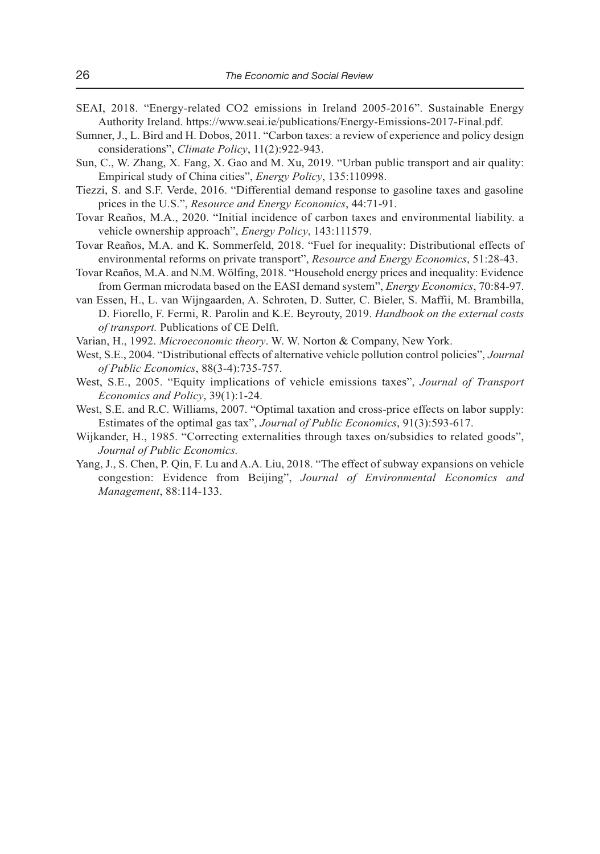- SEAI, 2018. "Energy-related CO2 emissions in Ireland 2005-2016". Sustainable Energy Authority Ireland. https://www.seai.ie/publications/Energy-Emissions-2017-Final.pdf.
- Sumner, J., L. Bird and H. Dobos, 2011. "Carbon taxes: a review of experience and policy design considerations", *Climate Policy*, 11(2):922-943.
- Sun, C., W. Zhang, X. Fang, X. Gao and M. Xu, 2019. "Urban public transport and air quality: Empirical study of China cities", *Energy Policy*, 135:110998.
- Tiezzi, S. and S.F. Verde, 2016. "Differential demand response to gasoline taxes and gasoline prices in the U.S.", *Resource and Energy Economics*, 44:71-91.
- Tovar Reaños, M.A., 2020. "Initial incidence of carbon taxes and environmental liability. a vehicle ownership approach", *Energy Policy*, 143:111579.
- Tovar Reaños, M.A. and K. Sommerfeld, 2018. "Fuel for inequality: Distributional effects of environmental reforms on private transport", *Resource and Energy Economics*, 51:28-43.
- Tovar Reaños, M.A. and N.M. Wölfing, 2018. "Household energy prices and inequality: Evidence from German microdata based on the EASI demand system", *Energy Economics*, 70:84-97.
- van Essen, H., L. van Wijngaarden, A. Schroten, D. Sutter, C. Bieler, S. Maffii, M. Brambilla, D. Fiorello, F. Fermi, R. Parolin and K.E. Beyrouty, 2019. *Handbook on the external costs of transport.* Publications of CE Delft.
- Varian, H., 1992. *Microeconomic theory*. W. W. Norton & Company, New York.
- West, S.E., 2004. "Distributional effects of alternative vehicle pollution control policies", *Journal of Public Economics*, 88(3-4):735-757.
- West, S.E., 2005. "Equity implications of vehicle emissions taxes", *Journal of Transport Economics and Policy*, 39(1):1-24.
- West, S.E. and R.C. Williams, 2007. "Optimal taxation and cross-price effects on labor supply: Estimates of the optimal gas tax", *Journal of Public Economics*, 91(3):593-617.
- Wijkander, H., 1985. "Correcting externalities through taxes on/subsidies to related goods", *Journal of Public Economics.*
- Yang, J., S. Chen, P. Qin, F. Lu and A.A. Liu, 2018. "The effect of subway expansions on vehicle congestion: Evidence from Beijing", *Journal of Environmental Economics and Management*, 88:114-133.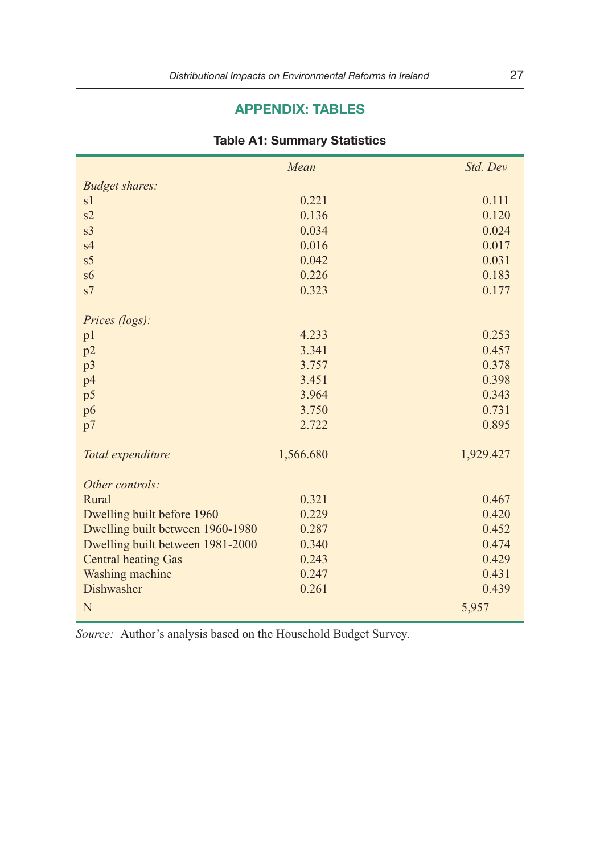# **APPENDIX: TABLES**

|                                  | Mean      | Std. Dev  |
|----------------------------------|-----------|-----------|
| <b>Budget shares:</b>            |           |           |
| s1                               | 0.221     | 0.111     |
| s2                               | 0.136     | 0.120     |
| s <sub>3</sub>                   | 0.034     | 0.024     |
| s <sub>4</sub>                   | 0.016     | 0.017     |
| s <sub>5</sub>                   | 0.042     | 0.031     |
| s6                               | 0.226     | 0.183     |
| s7                               | 0.323     | 0.177     |
|                                  |           |           |
| Prices (logs):                   |           |           |
| p <sub>1</sub>                   | 4.233     | 0.253     |
| p2                               | 3.341     | 0.457     |
| p <sub>3</sub>                   | 3.757     | 0.378     |
| p4                               | 3.451     | 0.398     |
| p5                               | 3.964     | 0.343     |
| p6                               | 3.750     | 0.731     |
| p7                               | 2.722     | 0.895     |
|                                  |           |           |
| Total expenditure                | 1,566.680 | 1,929.427 |
| Other controls:                  |           |           |
| Rural                            | 0.321     | 0.467     |
| Dwelling built before 1960       | 0.229     | 0.420     |
| Dwelling built between 1960-1980 | 0.287     | 0.452     |
| Dwelling built between 1981-2000 | 0.340     | 0.474     |
| <b>Central heating Gas</b>       | 0.243     | 0.429     |
| Washing machine                  | 0.247     | 0.431     |
| Dishwasher                       | 0.261     | 0.439     |
| N                                |           | 5,957     |

#### **Table A1: Summary Statistics**

*Source:* Author's analysis based on the Household Budget Survey.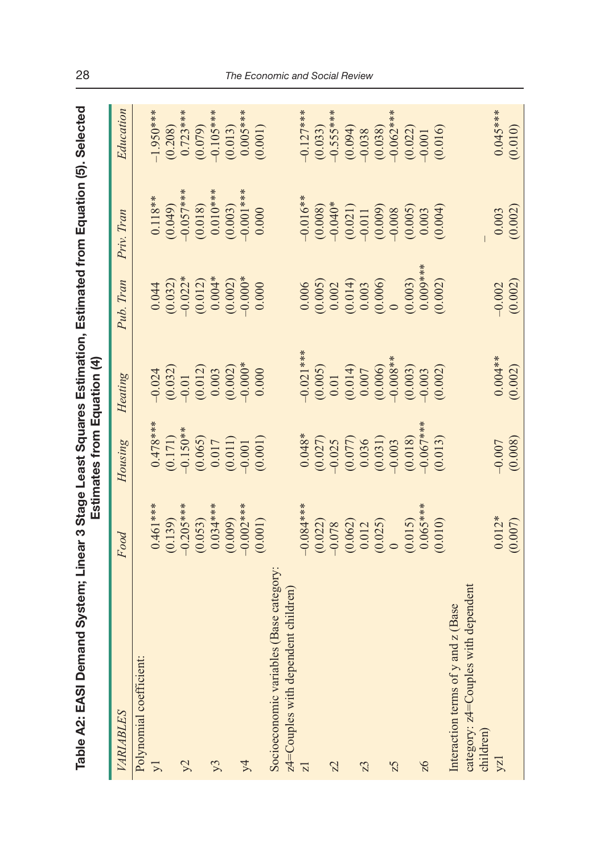| ים<br>ים ה<br>l<br>) | í<br>i<br>一 パルス ニアル |
|----------------------|---------------------|
| ble A2: EAS          |                     |

| Table A2: EASI Demand System; Linear 3 Stage Least Squares Estimation, Estimated from Equation (5). Selected |                      | Estimates from Equation (4) |                      |                                                 |                        |               |
|--------------------------------------------------------------------------------------------------------------|----------------------|-----------------------------|----------------------|-------------------------------------------------|------------------------|---------------|
| VARIABLES                                                                                                    | Food                 | Housing                     | Heating              | Pub. Tran                                       | Priv. Tran             | Education     |
| Polynomial coefficient:                                                                                      |                      |                             |                      |                                                 |                        |               |
| $\sqrt{ }$                                                                                                   | $0.461***$           | $0.478**$                   | $-0.024$             | 0.044                                           | $0.118**$              | $-1.950***$   |
|                                                                                                              | (0.139)              |                             |                      | $(0.032)$<br>$-0.022*$                          | (0.049)                | (0.208)       |
| $\mathcal{Y}^2$                                                                                              | $-0.205***$          | $(0.171)$<br>-0.150**       | $(0.032)$<br>$-0.01$ |                                                 | $-0.057***$            | $0.723***$    |
|                                                                                                              | (0.053)              |                             |                      |                                                 |                        | (0.079)       |
| y3                                                                                                           | $0.034***$           | $(0.065)$<br>0.017          | $(0.012)$<br>$0.003$ | $(0.012)$<br>0.004*                             | $(0.018)$<br>0.010***  | $-0.105***$   |
|                                                                                                              | (0.009)              | (0.011)                     | (0.002)              | (0.002)                                         | (0.003)                | (0.013)       |
| $\lambda$                                                                                                    | $-0.002***$          | $-0.001$                    | $-0.000*$            | $-0.000*$                                       | $-0.001$ ***           | $0.005***$    |
|                                                                                                              | (0.001)              | (0.001)                     | 0.000                | 0.000                                           | 0.000                  | (0.001)       |
| Socioeconomic variables (Base category                                                                       |                      |                             |                      |                                                 |                        |               |
| $z$ 4=Couples with dependent children)                                                                       |                      |                             |                      |                                                 |                        |               |
| $\overline{z}$                                                                                               | $-0.084***$          | $0.048*$                    | $0.021***$           | 0.006                                           | $-0.016**$             | $-0.127***$   |
|                                                                                                              | (0.022)              | (0.027)                     |                      |                                                 | $(0.008)$<br>$-0.040*$ | (0.033)       |
| Z <sub>2</sub>                                                                                               |                      |                             | $(0.005)$<br>$0.01$  | $(0.005)$<br>$0.002$                            |                        | $-0.55$ \$*** |
|                                                                                                              | $(0.062)$<br>$0.012$ | (0.077)                     | $(0.014)$<br>0.007   | $\begin{array}{c} (0.014) \\ 0.003 \end{array}$ |                        | (0.094)       |
| Z <sub>3</sub>                                                                                               |                      | 0.036                       |                      |                                                 | $(0.021)$<br>$-0.011$  | $-0.038$      |
|                                                                                                              | (0.025)              | (0.031)                     | (0.006)              | (0.006)                                         | (0.009)                | (0.038)       |
| 25                                                                                                           |                      | $-0.003$                    | $-0.008**$           |                                                 |                        | $-0.062***$   |
|                                                                                                              | (0.015)              | (0.018)                     | (0.003)              | (0.003)                                         | $(0.005)$<br>$0.003$   | (0.022)       |
| 26                                                                                                           | $0.065***$           | $-0.067***$                 | $-0.003$             | $0.009***$                                      |                        | $-0.001$      |
|                                                                                                              | (0.010)              | (0.013)                     | (0.002)              | (0.002)                                         | (0.004)                | (0.016)       |
| Interaction terms of y and z (Base                                                                           |                      |                             |                      |                                                 |                        |               |
| category: z4=Couples with dependent                                                                          |                      |                             |                      |                                                 |                        |               |
| children                                                                                                     |                      |                             |                      |                                                 |                        |               |
| yzl                                                                                                          | $0.012*$             | $-0.007$                    | $0.004**$            | $-0.002$                                        | 0.003                  | $0.045***$    |
|                                                                                                              | (0.007)              | (0.008)                     | (0.002)              | (0.002)                                         | (0.002)                | (0.010)       |
|                                                                                                              |                      |                             |                      |                                                 |                        |               |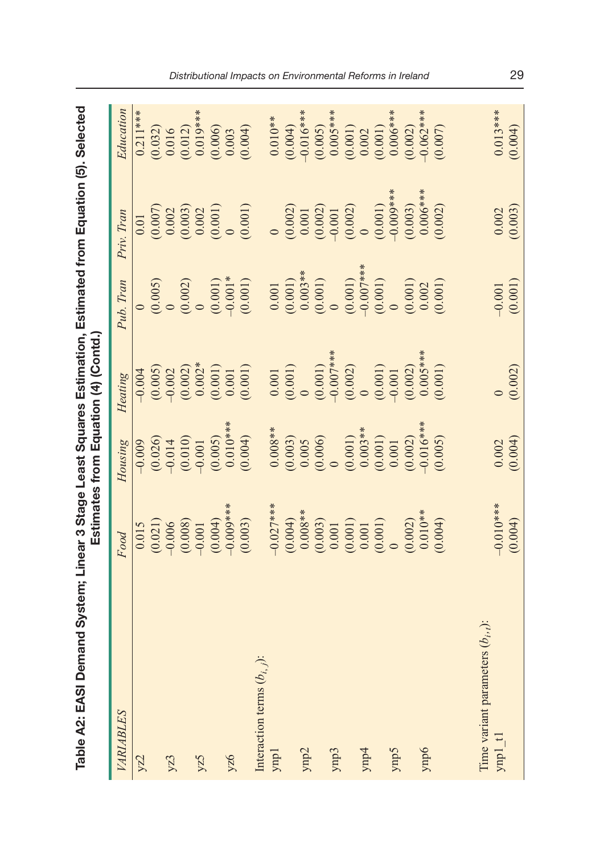| Table A2: EASI Demand System; Linear 3 Stage Least Squares Estimation, Estimated from Equation (5). Selected |                                                                                          |                                                                                   | Estimates from Equation (4) (Contd.)            |                                                                   |                                                                                           |                         |
|--------------------------------------------------------------------------------------------------------------|------------------------------------------------------------------------------------------|-----------------------------------------------------------------------------------|-------------------------------------------------|-------------------------------------------------------------------|-------------------------------------------------------------------------------------------|-------------------------|
| VARIABLES                                                                                                    | Food                                                                                     | Housing                                                                           | Heating                                         | Pub. Tran                                                         | Priv. Tran                                                                                | Education               |
| yz2                                                                                                          | 0.015                                                                                    | $-0.009$                                                                          | $-0.004$                                        |                                                                   | 0.01                                                                                      | $0.211***$              |
|                                                                                                              | (0.021)                                                                                  |                                                                                   |                                                 | (0.005)                                                           |                                                                                           | (0.032)                 |
| yz3                                                                                                          | $-0.006$                                                                                 |                                                                                   |                                                 |                                                                   |                                                                                           |                         |
|                                                                                                              | (0.008)                                                                                  | $\begin{array}{c} (0.026) \\ \bf{-0.014} \\ (0.010) \end{array}$                  | $(0.005)$<br>$-0.002$<br>$(0.002)$              | (0.002)                                                           |                                                                                           | $\frac{0.016}{(0.012)}$ |
| yz5                                                                                                          |                                                                                          | $-0.001$                                                                          | $0.002*$                                        |                                                                   |                                                                                           |                         |
|                                                                                                              | $(0.004)$<br>-0.009***                                                                   | (0.005)                                                                           | $\begin{array}{c} (0.001) \\ 0.001 \end{array}$ | (0.001)                                                           | $\begin{array}{c} (0.007) \\ 0.002 \\ (0.003) \\ 0.002 \\ (0.001) \\ (0.001) \end{array}$ | $0.019***$<br>(0.006)   |
| yz6                                                                                                          |                                                                                          |                                                                                   |                                                 |                                                                   |                                                                                           | 0.003                   |
|                                                                                                              | (0.003)                                                                                  | $(0.010***$<br>(0.004)                                                            | (0.001)                                         | (0.001)                                                           | (0.001)                                                                                   | (0.004)                 |
| Interaction terms $(b_{i, j})$ :                                                                             |                                                                                          |                                                                                   |                                                 |                                                                   |                                                                                           |                         |
| ynp <sub>1</sub>                                                                                             | $-0.027***$                                                                              |                                                                                   | 0.001                                           | $0.001\,$                                                         |                                                                                           | $0.010**$               |
|                                                                                                              | $(0.004)$<br>0.008**                                                                     |                                                                                   | $^{(0.001)}_{0}$                                |                                                                   |                                                                                           |                         |
| ynp2                                                                                                         |                                                                                          |                                                                                   |                                                 |                                                                   |                                                                                           | $(0.004)$<br>-0.016***  |
|                                                                                                              | $\begin{array}{c} (0.003) \\ 0.001 \\ 0.001 \\ 0.001 \\ 0.001 \\ 0.001 \\ 0 \end{array}$ | $\begin{array}{c} 0.008^{**} \\ (0.003) \\ 0.005 \\ 0.005 \\ (0.006) \end{array}$ | $(0.001)$<br>-0.007***<br>(0.002)               | $\begin{array}{c} (0.001) \\ 0.003** \\ (0.001) \\ 0 \end{array}$ | $\begin{array}{c} (0.002) \\ 0.001 \\ (0.002) \\ -0.001 \end{array}$                      | (0.005)                 |
| ymp3                                                                                                         |                                                                                          |                                                                                   |                                                 |                                                                   |                                                                                           | $0.005***$              |
|                                                                                                              |                                                                                          | $(0.001)$<br>$0.003**$                                                            |                                                 | $(0.001)$<br>$-0.007***$<br>$(0.001)$                             | (0.002)                                                                                   | (0.001)                 |
| ynp4                                                                                                         |                                                                                          |                                                                                   |                                                 |                                                                   |                                                                                           | 0.002                   |
|                                                                                                              |                                                                                          |                                                                                   |                                                 |                                                                   | (0.001)                                                                                   | (0.001)                 |
| ynp5                                                                                                         |                                                                                          | $\begin{array}{c} (0.001) \\ 0.001 \end{array}$                                   | (0.001)                                         |                                                                   | $-0.009***$                                                                               | $0.006***$              |
|                                                                                                              | (0.002)                                                                                  | $(0.002)$<br>-0.016***                                                            | $(0.002)$<br>0.005***                           | (0.001)                                                           | (0.003)                                                                                   | (0.002)                 |
| ynp6                                                                                                         | $0.010**$                                                                                |                                                                                   |                                                 | 0.002                                                             | $0.006***$                                                                                | $-0.062***$             |
|                                                                                                              | (0.004)                                                                                  | (0.005)                                                                           | (0.001)                                         | (0.001)                                                           | (0.002)                                                                                   | (0.007)                 |
|                                                                                                              |                                                                                          |                                                                                   |                                                 |                                                                   |                                                                                           |                         |
| $(b_{i},j)$ :<br>Time variant parameters                                                                     |                                                                                          |                                                                                   |                                                 |                                                                   |                                                                                           |                         |
| $y$ np $1$ _t $1$                                                                                            | $-0.010***$                                                                              | 0.002                                                                             |                                                 | $-0.001$                                                          | 0.002                                                                                     | $0.013***$              |
|                                                                                                              | (0.004)                                                                                  | (0.004)                                                                           | (0.002)                                         | (0.001)                                                           | (0.003)                                                                                   | (0.004)                 |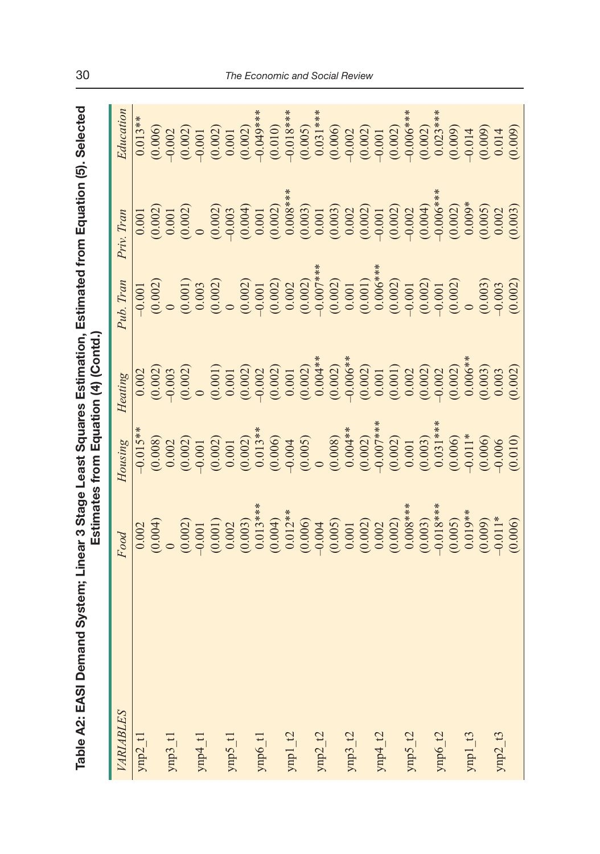| $\overline{\phantom{a}}$ |   |
|--------------------------|---|
| í                        |   |
|                          |   |
|                          |   |
| I                        |   |
|                          |   |
|                          |   |
|                          |   |
|                          |   |
|                          |   |
|                          |   |
|                          |   |
|                          |   |
|                          |   |
|                          |   |
|                          |   |
|                          |   |
|                          |   |
|                          |   |
|                          |   |
|                          | l |
|                          |   |
|                          |   |
|                          |   |
|                          |   |
|                          |   |
|                          |   |
|                          |   |
| ĺ,                       |   |
|                          |   |
| $M \sim N'$              |   |
|                          |   |

| Table A2: EASI Demand System; Linear 3 Stage Least Squares Estimation, Estimated from Equation (5). Selected |                                                                                                      |                                                                                                  | Estimates from Equation (4) (Contd.                                                                                                                                                                        |                                                                                                                                                                                                                                                                                                                                      |                                                            |                                                                                                                                                                                                                                                                            |
|--------------------------------------------------------------------------------------------------------------|------------------------------------------------------------------------------------------------------|--------------------------------------------------------------------------------------------------|------------------------------------------------------------------------------------------------------------------------------------------------------------------------------------------------------------|--------------------------------------------------------------------------------------------------------------------------------------------------------------------------------------------------------------------------------------------------------------------------------------------------------------------------------------|------------------------------------------------------------|----------------------------------------------------------------------------------------------------------------------------------------------------------------------------------------------------------------------------------------------------------------------------|
| VARIABLES                                                                                                    | Food                                                                                                 | Housing                                                                                          | Heating                                                                                                                                                                                                    | Pub. Tran                                                                                                                                                                                                                                                                                                                            | Priv. Tran                                                 | Education                                                                                                                                                                                                                                                                  |
| $ynp2_t1$                                                                                                    | 0.002                                                                                                | $-0.015**$                                                                                       | 0.002                                                                                                                                                                                                      | $-0.001$                                                                                                                                                                                                                                                                                                                             | 0.001                                                      | $0.013**$                                                                                                                                                                                                                                                                  |
|                                                                                                              | (0.004)                                                                                              |                                                                                                  |                                                                                                                                                                                                            | (0.002)                                                                                                                                                                                                                                                                                                                              |                                                            |                                                                                                                                                                                                                                                                            |
| $ymp3_t1$                                                                                                    |                                                                                                      | $\begin{array}{c} (0.008) \\ 0.002 \end{array}$                                                  |                                                                                                                                                                                                            |                                                                                                                                                                                                                                                                                                                                      |                                                            | $(0.006)$<br>$-0.002$                                                                                                                                                                                                                                                      |
|                                                                                                              |                                                                                                      | (0.002)                                                                                          |                                                                                                                                                                                                            | $(0.001)$<br>$0.003$                                                                                                                                                                                                                                                                                                                 | $\begin{array}{c} (0.002) \\ 0.001 \\ (0.002) \end{array}$ |                                                                                                                                                                                                                                                                            |
| $\gamma np4\_t1$                                                                                             |                                                                                                      |                                                                                                  |                                                                                                                                                                                                            |                                                                                                                                                                                                                                                                                                                                      |                                                            |                                                                                                                                                                                                                                                                            |
|                                                                                                              | $(0.002)$<br>$-0.001$<br>$(0.001)$<br>$(0.002)$<br>$(0.003)$<br>$(0.003)$<br>$(0.004)$<br>$(0.012**$ | $(0.002)$<br>$0.001$                                                                             | $(0.0003)\n(0.0010)\n(0.0010)\n(0.0002)\n(0.0003)\n(0.0003)\n(0.0003)\n(0.0003)\n(0.0003)\n(0.0003)\n(0.0003)\n(0.0003)\n(0.0003)\n(0.0003)\n(0.0003)\n(0.0003)\n(0.0003)\n(0.0003)\n(0.0003)\n(0.0003)\n$ | (0.002)                                                                                                                                                                                                                                                                                                                              |                                                            | $\begin{array}{c} 0.001 \\ 0.001 \\ 0.001 \\ 0.001 \\ 0.002 \\ 0.003 \\ 0.004**\\ 0.0005**\\ 0.0005**\\ 0.0005**\\ 0.00000\\ 0.00000\\ 0.00000\\ 0.00000\\ 0.00000\\ 0.00000\\ 0.00000\\ 0.00000\\ 0.00000\\ 0.00000\\ 0.00000\\ 0.00000\\ 0.00000\\ 0.00000\\ 0.00000\\ $ |
| ynp5_t1                                                                                                      |                                                                                                      |                                                                                                  |                                                                                                                                                                                                            |                                                                                                                                                                                                                                                                                                                                      |                                                            |                                                                                                                                                                                                                                                                            |
|                                                                                                              |                                                                                                      |                                                                                                  |                                                                                                                                                                                                            |                                                                                                                                                                                                                                                                                                                                      |                                                            |                                                                                                                                                                                                                                                                            |
| $ymp6_t1$                                                                                                    |                                                                                                      |                                                                                                  |                                                                                                                                                                                                            |                                                                                                                                                                                                                                                                                                                                      |                                                            |                                                                                                                                                                                                                                                                            |
|                                                                                                              |                                                                                                      |                                                                                                  |                                                                                                                                                                                                            |                                                                                                                                                                                                                                                                                                                                      |                                                            |                                                                                                                                                                                                                                                                            |
| $\text{ynp1\_t2}$                                                                                            |                                                                                                      | $\begin{array}{c} (0.002) \\ 0.013** \\ 0.005 \\ (0.006) \\ 0.004 \\ (0.005) \\ 0 \end{array}$   |                                                                                                                                                                                                            |                                                                                                                                                                                                                                                                                                                                      |                                                            |                                                                                                                                                                                                                                                                            |
|                                                                                                              | (0.006)                                                                                              |                                                                                                  |                                                                                                                                                                                                            |                                                                                                                                                                                                                                                                                                                                      |                                                            |                                                                                                                                                                                                                                                                            |
| $ynp2_2$ 2                                                                                                   |                                                                                                      |                                                                                                  |                                                                                                                                                                                                            |                                                                                                                                                                                                                                                                                                                                      |                                                            |                                                                                                                                                                                                                                                                            |
|                                                                                                              | $(0.005)$<br>0.001                                                                                   |                                                                                                  |                                                                                                                                                                                                            |                                                                                                                                                                                                                                                                                                                                      |                                                            |                                                                                                                                                                                                                                                                            |
| $ymp3_2$ $t2$                                                                                                |                                                                                                      |                                                                                                  |                                                                                                                                                                                                            |                                                                                                                                                                                                                                                                                                                                      |                                                            |                                                                                                                                                                                                                                                                            |
|                                                                                                              | $\begin{array}{c} (0.002) \\ 0.002 \\ (0.002) \\ 0.008*** \end{array}$                               | $\begin{array}{c} (0.008) \\ 0.004** \\ (0.002)* \\ (0.007) * \\ (0.001) \\ (0.001) \end{array}$ |                                                                                                                                                                                                            | $\begin{array}{l} (0.002) \\ (0.001 \\ (0.002) \\ (0.002) \\ (0.002) \\ (0.007) \\ (0.001) \\ (0.001) \\ (0.001) \\ (0.001) \\ (0.006**\\ (0.006**\\ (0.006***\\ (0.007)) \\ (0.008***\\ (0.008***\\ (0.008***\\ (0.008***\\ (0.008***\\ (0.008***\\ (0.008***\\ (0.008***\\ (0.008***\\ (0.008***\\ (0.008***\\ (0.008***\\ (0.008$ |                                                            |                                                                                                                                                                                                                                                                            |
| ynp<br>4_t2 $\,$                                                                                             |                                                                                                      |                                                                                                  |                                                                                                                                                                                                            |                                                                                                                                                                                                                                                                                                                                      |                                                            |                                                                                                                                                                                                                                                                            |
|                                                                                                              |                                                                                                      |                                                                                                  |                                                                                                                                                                                                            | (0.002)                                                                                                                                                                                                                                                                                                                              |                                                            |                                                                                                                                                                                                                                                                            |
| $\text{Ynp5\_t2}$                                                                                            |                                                                                                      |                                                                                                  |                                                                                                                                                                                                            |                                                                                                                                                                                                                                                                                                                                      |                                                            |                                                                                                                                                                                                                                                                            |
|                                                                                                              | (0.003)                                                                                              | (0.003)                                                                                          |                                                                                                                                                                                                            |                                                                                                                                                                                                                                                                                                                                      |                                                            |                                                                                                                                                                                                                                                                            |
| $\text{Ynpo}_2^2$                                                                                            | $-0.018***$                                                                                          | $0.031***$                                                                                       |                                                                                                                                                                                                            | (0.002)                                                                                                                                                                                                                                                                                                                              |                                                            |                                                                                                                                                                                                                                                                            |
|                                                                                                              | (0.005)                                                                                              | (0.006)                                                                                          | $(0.002)$<br>0.006**                                                                                                                                                                                       | (0.002)                                                                                                                                                                                                                                                                                                                              | $(0.002)$<br>0.009*                                        |                                                                                                                                                                                                                                                                            |
| $ynp1_3$                                                                                                     | $0.019**$                                                                                            | $-0.011*$                                                                                        |                                                                                                                                                                                                            |                                                                                                                                                                                                                                                                                                                                      |                                                            |                                                                                                                                                                                                                                                                            |
|                                                                                                              | (0.009)                                                                                              | (0.006)                                                                                          | (0.003)                                                                                                                                                                                                    | (0.003)                                                                                                                                                                                                                                                                                                                              | (0.005)                                                    | $(0.009)$<br>0.014                                                                                                                                                                                                                                                         |
| $ynp2_13$                                                                                                    | $-0.011*$                                                                                            | $-0.006$                                                                                         | 0.003                                                                                                                                                                                                      |                                                                                                                                                                                                                                                                                                                                      | 0.002                                                      |                                                                                                                                                                                                                                                                            |
|                                                                                                              | (0.006)                                                                                              | (0.010)                                                                                          | (0.002)                                                                                                                                                                                                    | (0.002)                                                                                                                                                                                                                                                                                                                              | (0.003)                                                    | (0.009)                                                                                                                                                                                                                                                                    |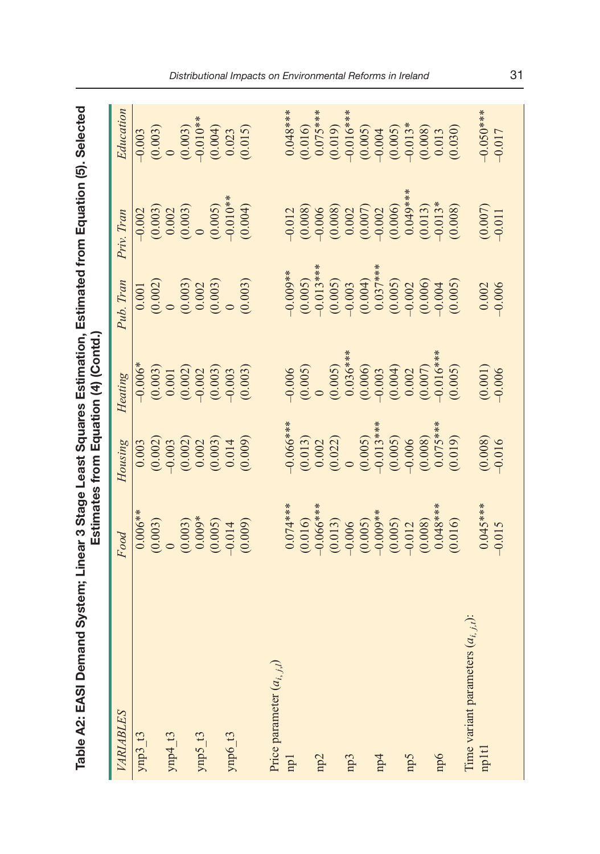| Table A2: EASI Demand System; Linear 3 Stage Least Squares Estimation, Estimated from Equation (5). Selected |                         |                                                          | Estimates from Equation (4) (Contd.) |                                                                        |                                                                      |                                                 |
|--------------------------------------------------------------------------------------------------------------|-------------------------|----------------------------------------------------------|--------------------------------------|------------------------------------------------------------------------|----------------------------------------------------------------------|-------------------------------------------------|
| VARIABLES                                                                                                    | Food                    | Housing                                                  | Heating                              | Pub. Tran                                                              | Priv. Tran                                                           | Education                                       |
| $ymp3_13$                                                                                                    | $0.006**$               | 0.003                                                    |                                      |                                                                        |                                                                      |                                                 |
|                                                                                                              | (0.003)                 |                                                          |                                      |                                                                        |                                                                      | $-0.003$<br>$(0.003)$                           |
| $ymp4_13$                                                                                                    |                         | (0.002)                                                  | $-0.006*$<br>$(0.003)$<br>$0.001$    |                                                                        |                                                                      |                                                 |
|                                                                                                              | (0.003)                 | (0.002)                                                  | (0.002)                              | $\begin{array}{c} 0.001 \\ 0.002) \\ 0 \\ 0.003) \\ 0.002 \end{array}$ | $-0.002$<br>$(0.003)$<br>$0.003$<br>$(0.003)$<br>0                   | $(0.003)$<br>$-0.010**$<br>$(0.004)$<br>$0.023$ |
| $ymp5_13$                                                                                                    | $0.009*$                | 0.002                                                    |                                      |                                                                        |                                                                      |                                                 |
|                                                                                                              | (0.005)                 | (0.003)                                                  | (0.003)                              | (0.003)                                                                | (0.005)                                                              |                                                 |
| $ymp6_13$                                                                                                    | $-0.014$                | 0.014                                                    |                                      |                                                                        | $-0.010**$                                                           |                                                 |
|                                                                                                              | (0.009)                 | (0.009)                                                  | (0.003)                              | (0.003)                                                                | (0.004)                                                              | (0.015)                                         |
| Price parameter $(a_{i, j, l})$                                                                              |                         |                                                          |                                      |                                                                        |                                                                      |                                                 |
|                                                                                                              |                         |                                                          |                                      |                                                                        |                                                                      |                                                 |
| np1                                                                                                          | $0.074***$              | $-0.066***$                                              | $-0.006$                             | $-0.009**$                                                             | $-0.012$                                                             | $0.048***$                                      |
|                                                                                                              | (0.016)                 |                                                          | (0.005)                              | $(0.005)$<br>-0.013***                                                 | $(0.008)$<br>$-0.006$                                                | $(0.016)$<br>0.075****                          |
| np2                                                                                                          | $-0.066***$             |                                                          |                                      |                                                                        |                                                                      |                                                 |
|                                                                                                              | (0.013)                 | $\begin{array}{c} (0.013) \\ 0.002 \\ 0.022 \end{array}$ | (0.005)                              | (0.005)                                                                | $\begin{array}{c} (0.008) \\ 0.002 \\ (0.007) \\ -0.002 \end{array}$ |                                                 |
| np3                                                                                                          |                         |                                                          | $0.036***$                           |                                                                        |                                                                      | $(0.019)$<br>-0.016***                          |
|                                                                                                              | $(0.005)$<br>$-0.009**$ |                                                          |                                      | $(0.004)$<br>0.037***                                                  |                                                                      | (0.005)                                         |
| np4                                                                                                          |                         | $(0.005)$<br>-0.013***                                   | (0.006)                              |                                                                        |                                                                      |                                                 |
|                                                                                                              | (0.005)                 | (0.005)                                                  | $(0.004)$<br>$0.002$                 | (0.005)                                                                | $(0.006)$<br>0.049***                                                | $(0.005)$<br>-0.013*                            |
| mp5                                                                                                          |                         |                                                          |                                      |                                                                        |                                                                      |                                                 |
|                                                                                                              | (0.008)                 | (0.008)                                                  | $(0.007)$<br>-0.016***               | (0.006)                                                                | $(0.013)$<br>-0.013*                                                 | $(0.008)$<br>$0.013$                            |
| np6                                                                                                          | $0.048***$              | $0.075***$                                               |                                      |                                                                        |                                                                      |                                                 |
|                                                                                                              | (0.016)                 | (0.019)                                                  | (0.005)                              | (0.005)                                                                | (0.008)                                                              | (0.030)                                         |
| Time variant parameters $(a_{i,j,t})$ :                                                                      |                         |                                                          |                                      |                                                                        |                                                                      |                                                 |
| mpltl                                                                                                        | $0.045***$              | (0.008)                                                  | (0.001)                              | 0.002                                                                  | (0.007)                                                              | $-0.050***$                                     |
|                                                                                                              | $-0.015$                | $-0.016$                                                 | $-0.006$                             | $-0.006$                                                               | $-0.011$                                                             | $-0.017$                                        |
|                                                                                                              |                         |                                                          |                                      |                                                                        |                                                                      |                                                 |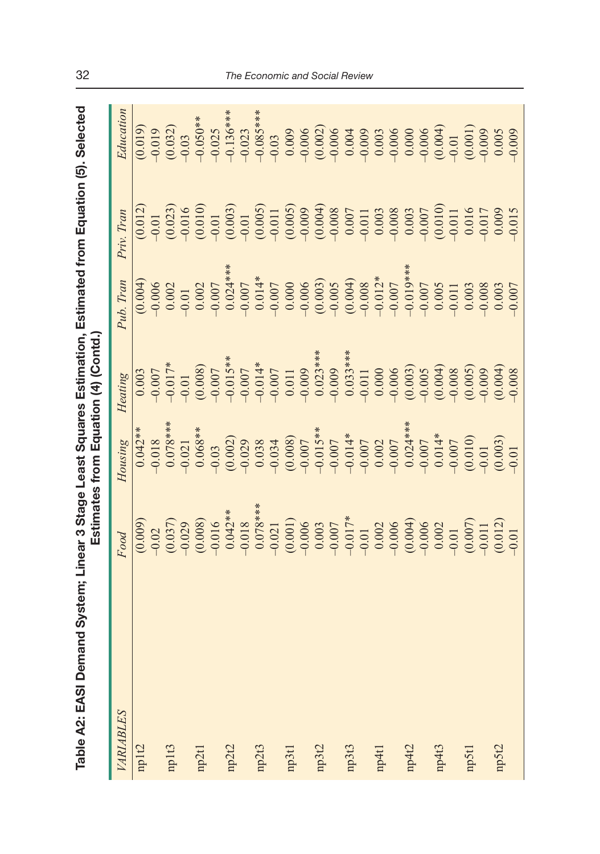| ĺ                                   |                      |
|-------------------------------------|----------------------|
| I                                   |                      |
|                                     |                      |
|                                     |                      |
|                                     |                      |
|                                     | ה-<br>ה-<br>ה-<br>ה- |
|                                     |                      |
|                                     | Ectionato            |
|                                     |                      |
|                                     |                      |
|                                     |                      |
| hla A9. EASI D<br>⊥<br>الحا<br>الحا |                      |
|                                     |                      |
| 2                                   |                      |

| Table A2: EASI Demand System; Linear 3 Stage Least Squares Estimation, Estimated from Equation (5). Selected |                                                                      |                                                                                | Estimates from Equation (4) (Contd.)                                                                                                           |                                                                                                                                                                                                                                                                                                 |                                                                   |                                                                             |
|--------------------------------------------------------------------------------------------------------------|----------------------------------------------------------------------|--------------------------------------------------------------------------------|------------------------------------------------------------------------------------------------------------------------------------------------|-------------------------------------------------------------------------------------------------------------------------------------------------------------------------------------------------------------------------------------------------------------------------------------------------|-------------------------------------------------------------------|-----------------------------------------------------------------------------|
| VARIABLES                                                                                                    | Food                                                                 | Housing                                                                        | Heating                                                                                                                                        | Pub. Tran                                                                                                                                                                                                                                                                                       | Priv. Tran                                                        | Education                                                                   |
| mplt2                                                                                                        |                                                                      |                                                                                | 0.003                                                                                                                                          | (0.004)                                                                                                                                                                                                                                                                                         | (0.012)                                                           |                                                                             |
|                                                                                                              |                                                                      |                                                                                |                                                                                                                                                |                                                                                                                                                                                                                                                                                                 |                                                                   | (0.019)                                                                     |
| $np1t3$                                                                                                      |                                                                      | $\begin{array}{c} 0.042** \\ -0.018 \\ 0.078*** \\ \hline 0.078** \end{array}$ | $-0.007$<br>$-0.017*$                                                                                                                          | $-0.006$<br>$0.002$                                                                                                                                                                                                                                                                             |                                                                   | $(0.032)$<br>$-0.03$                                                        |
|                                                                                                              |                                                                      |                                                                                |                                                                                                                                                | $-0.01$                                                                                                                                                                                                                                                                                         |                                                                   |                                                                             |
| np2t1                                                                                                        |                                                                      | $0.068**$                                                                      |                                                                                                                                                |                                                                                                                                                                                                                                                                                                 |                                                                   |                                                                             |
|                                                                                                              |                                                                      |                                                                                |                                                                                                                                                |                                                                                                                                                                                                                                                                                                 |                                                                   |                                                                             |
| np2t2                                                                                                        |                                                                      |                                                                                |                                                                                                                                                | $\begin{array}{c} 0.002 \\ -0.007 \\ 0.024*** \\ 0.014*** \\ \hline \end{array}$                                                                                                                                                                                                                |                                                                   | $-0.050**$<br>$-0.025$<br>$-0.136***$<br>$-0.023$<br>$-0.085***$<br>$-0.03$ |
|                                                                                                              |                                                                      |                                                                                |                                                                                                                                                |                                                                                                                                                                                                                                                                                                 |                                                                   |                                                                             |
| np2t3                                                                                                        |                                                                      |                                                                                |                                                                                                                                                |                                                                                                                                                                                                                                                                                                 |                                                                   |                                                                             |
|                                                                                                              |                                                                      |                                                                                |                                                                                                                                                |                                                                                                                                                                                                                                                                                                 |                                                                   |                                                                             |
| np3t1                                                                                                        |                                                                      |                                                                                | $-0.01$<br>$(0.008)$<br>$(0.007)$<br>$-0.015$ **<br>$-0.007$<br>$-0.014$ *<br>$-0.007$<br>$-0.007$<br>$-0.003$ ***<br>$-0.009$<br>$-0.033$ *** | $\begin{array}{l} 0.014^{*}\\ 0.007\\ -0.000\\ 0.000\\ 0.000\\ 0.000\\ 0.000\\ -0.000\\ 0.000\\ -0.007\\ -0.007\\ -0.007\\ -0.007\\ -0.007\\ -0.007\\ -0.007\\ -0.007\\ -0.007\\ -0.007\\ -0.007\\ -0.007\\ -0.007\\ -0.007\\ -0.007\\ -0.007\\ -0.007\\ -0.007\\ -0.007\\ -0.007\\ -0.007\\ -$ |                                                                   |                                                                             |
|                                                                                                              |                                                                      |                                                                                |                                                                                                                                                |                                                                                                                                                                                                                                                                                                 |                                                                   |                                                                             |
| mp3t2                                                                                                        |                                                                      |                                                                                |                                                                                                                                                |                                                                                                                                                                                                                                                                                                 |                                                                   |                                                                             |
|                                                                                                              |                                                                      |                                                                                |                                                                                                                                                |                                                                                                                                                                                                                                                                                                 |                                                                   |                                                                             |
| mp3t3                                                                                                        |                                                                      |                                                                                |                                                                                                                                                |                                                                                                                                                                                                                                                                                                 |                                                                   |                                                                             |
|                                                                                                              |                                                                      |                                                                                |                                                                                                                                                |                                                                                                                                                                                                                                                                                                 |                                                                   |                                                                             |
| np4t1                                                                                                        |                                                                      |                                                                                |                                                                                                                                                |                                                                                                                                                                                                                                                                                                 |                                                                   |                                                                             |
|                                                                                                              |                                                                      |                                                                                |                                                                                                                                                |                                                                                                                                                                                                                                                                                                 |                                                                   |                                                                             |
| np4t2                                                                                                        |                                                                      |                                                                                | $\begin{array}{c} 0.000 \\ -0.006 \\ (0.003) \\ -0.005 \end{array}$                                                                            |                                                                                                                                                                                                                                                                                                 |                                                                   |                                                                             |
|                                                                                                              |                                                                      |                                                                                |                                                                                                                                                |                                                                                                                                                                                                                                                                                                 |                                                                   |                                                                             |
| np4t3                                                                                                        |                                                                      |                                                                                |                                                                                                                                                | $-0.005$                                                                                                                                                                                                                                                                                        | (0.010)                                                           |                                                                             |
|                                                                                                              |                                                                      |                                                                                |                                                                                                                                                |                                                                                                                                                                                                                                                                                                 |                                                                   |                                                                             |
| mp5t1                                                                                                        |                                                                      |                                                                                | $(0.004)$<br>$-0.008$<br>$(0.005)$<br>$-0.009$                                                                                                 | 0.003                                                                                                                                                                                                                                                                                           | $\begin{array}{c} 0.016 \\ -0.017 \\ 0.009 \\ -0.015 \end{array}$ |                                                                             |
|                                                                                                              |                                                                      |                                                                                |                                                                                                                                                | $-0.008$                                                                                                                                                                                                                                                                                        |                                                                   |                                                                             |
| mp5t2                                                                                                        |                                                                      |                                                                                |                                                                                                                                                | 0.003                                                                                                                                                                                                                                                                                           |                                                                   |                                                                             |
|                                                                                                              | $\begin{array}{c} (0.007) \\ -0.011 \\ (0.012) \\ -0.01 \end{array}$ |                                                                                | (0.004)                                                                                                                                        | $-0.007$                                                                                                                                                                                                                                                                                        |                                                                   |                                                                             |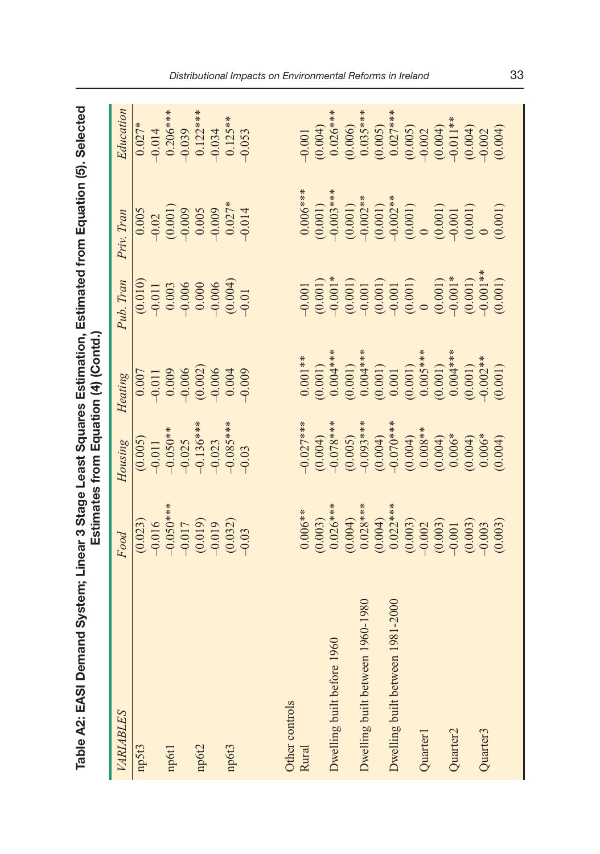| able A2: EASI Demand System; Linear 3 Stage Least Squares Estimation, Estimated from Equation (5). Selected |                     | Estimates from Equation (4) (Contd.)        |          |             |                                    |                 |
|-------------------------------------------------------------------------------------------------------------|---------------------|---------------------------------------------|----------|-------------|------------------------------------|-----------------|
|                                                                                                             | Food                | Housing Heating                             |          |             | Pub. Tran Priv. Tran               | Education       |
|                                                                                                             | (0.023)             | (0.005)                                     | 0.007    | (0.010)     | 0.005                              | $0.027*$        |
|                                                                                                             | 0.016               | 0.011                                       | $-0.011$ | $-0.011$    | 0.02                               | $-0.014$        |
| ٦                                                                                                           | $Q = Q_{\text{sh}}$ | $\bigcap_{i=1}^n C_i = \bigcap_{i=1}^n C_i$ | coco     | $\tilde{z}$ | $\sim$ $\sim$ $\sim$ $\sim$ $\sim$ | O O O Calcalada |

| Table A2: EASI Demand System; Linear 3 Stage Least Squares Estimation, Estimated from Equation (5). Selected |                                   |                                     | Estimates from Equation (4) (Contd.)               |                                                                                                                                                                                                                                                                                              |                                                                                                            |                                                                                                                                |
|--------------------------------------------------------------------------------------------------------------|-----------------------------------|-------------------------------------|----------------------------------------------------|----------------------------------------------------------------------------------------------------------------------------------------------------------------------------------------------------------------------------------------------------------------------------------------------|------------------------------------------------------------------------------------------------------------|--------------------------------------------------------------------------------------------------------------------------------|
| VARIABLES                                                                                                    | Food                              | Housing                             | Heating                                            | Pub. Tran                                                                                                                                                                                                                                                                                    | Priv. Tran                                                                                                 | Education                                                                                                                      |
| np5t3                                                                                                        | (0.023)                           |                                     | $0.007$                                            |                                                                                                                                                                                                                                                                                              | 0.005                                                                                                      | $0.027*$                                                                                                                       |
|                                                                                                              | $-0.016$                          | (0.005)                             |                                                    |                                                                                                                                                                                                                                                                                              |                                                                                                            | $-0.014$                                                                                                                       |
| np6t1                                                                                                        | $-0.050***$                       | $-0.050**$                          | $-0.011$<br>0.009                                  | $\begin{array}{c} (0.010) \\ -0.011 \\ 0.003 \end{array}$                                                                                                                                                                                                                                    |                                                                                                            | $0.206***$                                                                                                                     |
|                                                                                                              |                                   | $-0.025$                            | $-0.006$                                           |                                                                                                                                                                                                                                                                                              |                                                                                                            | $-0.039$<br>0.122***                                                                                                           |
| np6t2                                                                                                        | $-0.017$<br>$(0.019)$<br>$-0.019$ | $-0.136***$                         | (0.002)                                            | $-0.006$<br>$0.000$                                                                                                                                                                                                                                                                          | $\frac{0.02}{0.001}$<br>$\frac{0.009}{0.005}$                                                              |                                                                                                                                |
|                                                                                                              |                                   | $-0.023$                            | $-0.006$                                           | $-0.006$                                                                                                                                                                                                                                                                                     | $-0.009$                                                                                                   | $-0.034$                                                                                                                       |
| np6t3                                                                                                        | (0.032)                           | $-0.085***$                         | 0.004                                              | (0.004)                                                                                                                                                                                                                                                                                      | $0.027*$                                                                                                   | $0.125***$                                                                                                                     |
|                                                                                                              | $-0.03$                           | $-0.03$                             | $-0.009$                                           | $-0.01$                                                                                                                                                                                                                                                                                      | $-0.014$                                                                                                   | $-0.053$                                                                                                                       |
|                                                                                                              |                                   |                                     |                                                    |                                                                                                                                                                                                                                                                                              |                                                                                                            |                                                                                                                                |
| Other controls                                                                                               |                                   |                                     |                                                    |                                                                                                                                                                                                                                                                                              |                                                                                                            |                                                                                                                                |
| Rural                                                                                                        | $0.006**$                         |                                     | $0.001**$                                          |                                                                                                                                                                                                                                                                                              | $0.006***$                                                                                                 | $-0.001$                                                                                                                       |
|                                                                                                              | (0.003)                           | $-0.027***$<br>(0.004)<br>(0.078*** | (0.001)                                            | $-0.001$<br>$(0.001)$<br>$-0.001*$                                                                                                                                                                                                                                                           |                                                                                                            | $(0.004)$<br>0.026***                                                                                                          |
| 1960<br>Dwelling built before                                                                                | $0.026***$                        |                                     | $0.004***$                                         |                                                                                                                                                                                                                                                                                              | $(0.001)$<br>-0.003***                                                                                     |                                                                                                                                |
|                                                                                                              | (0.004)                           |                                     |                                                    |                                                                                                                                                                                                                                                                                              |                                                                                                            |                                                                                                                                |
| Dwelling built between 1960-1980                                                                             | $0.028***$                        | $(0.005)$<br>$-0.093***$            | $(0.001)$<br>$0.004***$                            |                                                                                                                                                                                                                                                                                              |                                                                                                            | $(0.006)$<br>$0.035***$                                                                                                        |
|                                                                                                              | $(0.004)$<br>0.022***             | $(0.004)$<br>-0.070***              |                                                    |                                                                                                                                                                                                                                                                                              |                                                                                                            |                                                                                                                                |
| Dwelling built between 1981-2000                                                                             |                                   |                                     |                                                    |                                                                                                                                                                                                                                                                                              |                                                                                                            |                                                                                                                                |
|                                                                                                              | (0.003)                           | (0.004)                             | $(0.001)$<br>0.001<br>0.001)<br>0.005***           | $\begin{array}{l} (0.001)\\ (0.001)\\ (0.001)\\ (0.001)\\ (0.001)\\ (0.001)\\ (0.001)\\ (0.001)\\ (0.001)\\ (0.001)\\ (0.001)\\ (0.001)\\ (0.001)\\ (0.001)\\ (0.001)\\ (0.001)\\ (0.001)\\ (0.001)\\ (0.001)\\ (0.001)\\ (0.001)\\ (0.001)\\ (0.001)\\ (0.001)\\ (0.001)\\ (0.001)\\ (0.00$ | $\begin{array}{c} (0.001) \\ -0.002^{**} \\ (0.001) \\ -0.002^{**} \\ (0.001) \\ (0.001) \\ 0 \end{array}$ | $\begin{array}{c} (0.005) \\ 0.027^{***} \\ (0.005) \\ (0.000) \\ (0.001) \\ (0.004) \\ (0.004) \\ (0.011^{**} \\ \end{array}$ |
| Quarter <sub>1</sub>                                                                                         | $-0.002$                          | $0.008**$                           |                                                    |                                                                                                                                                                                                                                                                                              |                                                                                                            |                                                                                                                                |
|                                                                                                              | (0.003)                           | (0.004)                             | $\begin{array}{c} (0.001) \\ 0.004*** \end{array}$ | $(0.001)$<br>-0.001*                                                                                                                                                                                                                                                                         |                                                                                                            |                                                                                                                                |
| Quarter <sub>2</sub>                                                                                         | $-0.001$                          | $0.006*$                            |                                                    |                                                                                                                                                                                                                                                                                              |                                                                                                            |                                                                                                                                |
|                                                                                                              | (0.003)                           | (0.004)                             | (0.001)                                            | (0.001)                                                                                                                                                                                                                                                                                      | $\begin{array}{c} (0.001) \\ -0.001 \\ (0.001) \\ 0 \end{array}$                                           | (0.004)                                                                                                                        |
| Quarter <sub>3</sub>                                                                                         | $-0.003$                          | $0.006*$                            | $0.002**$                                          | $-0.001**$                                                                                                                                                                                                                                                                                   |                                                                                                            |                                                                                                                                |
|                                                                                                              | (0.003)                           | (0.004)                             | (0.001)                                            | (0.001)                                                                                                                                                                                                                                                                                      | (0.001)                                                                                                    | (0.004)                                                                                                                        |
|                                                                                                              |                                   |                                     |                                                    |                                                                                                                                                                                                                                                                                              |                                                                                                            |                                                                                                                                |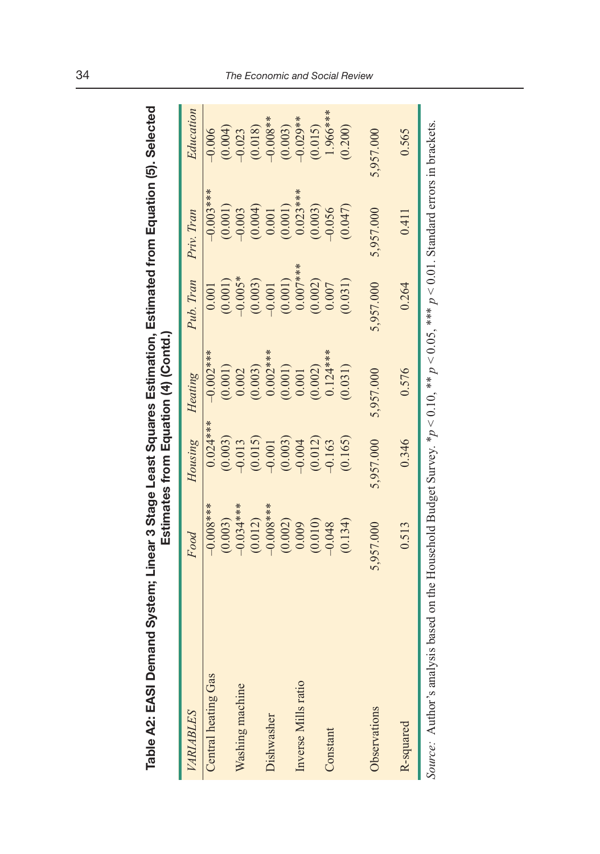| ica<br>Gal<br>d from Fauation (<br><b>Linear 3 Stage Least Squares Estimation. Estimat</b><br>otes from Equation (4) (Conto<br>mates<br>$\overline{\bf 0}$<br>Ä<br>.<br>إي<br>$\frac{1}{2}$ |
|---------------------------------------------------------------------------------------------------------------------------------------------------------------------------------------------|
|---------------------------------------------------------------------------------------------------------------------------------------------------------------------------------------------|

| Table A2: EASI Demand System; Linear 3 Stage Least Squares Estimation, Estimated from Equation (5). Selected                 |             |            | Estimates from Equation (4) (Contd.) |            |             |            |
|------------------------------------------------------------------------------------------------------------------------------|-------------|------------|--------------------------------------|------------|-------------|------------|
| VARIABLES                                                                                                                    | Food        | Housing    | Heating                              | Pub. Tran  | Priv. Tran  | Education  |
| Central heating Gas                                                                                                          | $-0.008***$ | $0.024***$ | $-0.002***$                          | 0.001      | $-0.003***$ | $-0.006$   |
|                                                                                                                              | (0.003)     | (0.003)    | (0.001)                              | (0.001)    | (0.001)     | (0.004)    |
| Washing machine                                                                                                              | $-0.034***$ | $-0.013$   | 0.002                                | $-0.005*$  | $-0.003$    | $-0.023$   |
|                                                                                                                              | (0.012)     | (0.015)    | (0.003)                              | (0.003)    | (0.004)     | (0.018)    |
| Dishwasher                                                                                                                   | $-0.008***$ | $-0.001$   | $0.002***$                           | $-0.001$   | 0.001       | $-0.008**$ |
|                                                                                                                              | (0.002)     | (0.003)    | (0.001)                              | (0.001)    | (0.001)     | (0.003)    |
| Inverse Mills ratio                                                                                                          | 0.009       | $-0.004$   | 0.001                                | $0.007***$ | $0.023***$  | $-0.029**$ |
|                                                                                                                              | (0.010)     | (0.012)    | (0.002)                              | (0.002)    | (0.003)     | (0.015)    |
| Constant                                                                                                                     | $-0.048$    | $-0.163$   | $0.124***$                           | 0.007      | $-0.056$    | 1.966***   |
|                                                                                                                              | (0.134)     | (0.165)    | (0.031)                              | (0.031)    | (0.047)     | (0.200)    |
| Observations                                                                                                                 | 5,957.000   | 5,957.000  | 5,957.000                            | 5,957.000  | 5,957.000   | 5,957.000  |
| R-squared                                                                                                                    | 0.513       | 0.346      | 0.576                                | 0.264      | 0.411       | 0.565      |
| Course: Author's analysis based on the Household Budget Survey *n < 0.10 ** n < 0.05 ** n < 0.01 Standard errors in brackets |             |            |                                      |            |             |            |

*Source:* Author's analysis based on the Household Budget Survey.  $*p < 0.10$ ,  $**$   $p < 0.05$ ,  $**$   $p < 0.01$ . Standard errors in brackets. in prackets. U.U1. Standard errors  $\overline{ }$  $\overline{p}$  $\sim 0.05$ ,  $\overline{p}$  $\overline{0}.10$  $\mu$ Housenoid Budget Survey.  $\Xi$ analysis based on  $\frac{1}{2}$ Auunor Source: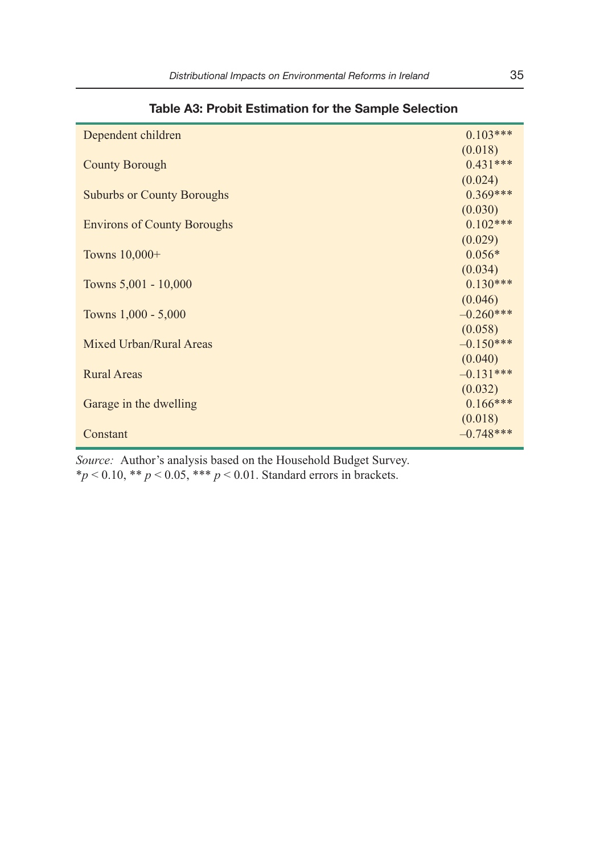|                                    | $0.103***$  |
|------------------------------------|-------------|
| Dependent children                 |             |
|                                    | (0.018)     |
| <b>County Borough</b>              | $0.431***$  |
|                                    | (0.024)     |
| <b>Suburbs or County Boroughs</b>  | $0.369***$  |
|                                    | (0.030)     |
| <b>Environs of County Boroughs</b> | $0.102***$  |
|                                    | (0.029)     |
| Towns 10,000+                      | $0.056*$    |
|                                    | (0.034)     |
| Towns 5,001 - 10,000               | $0.130***$  |
|                                    | (0.046)     |
| Towns 1,000 - 5,000                | $-0.260***$ |
|                                    | (0.058)     |
| Mixed Urban/Rural Areas            | $-0.150***$ |
|                                    | (0.040)     |
| <b>Rural Areas</b>                 | $-0.131***$ |
|                                    | (0.032)     |
| Garage in the dwelling             | $0.166***$  |
|                                    | (0.018)     |
| Constant                           | $-0.748***$ |
|                                    |             |

**Table A3: Probit Estimation for the Sample Selection** 

*Source:* Author's analysis based on the Household Budget Survey.

\**p* < 0.10, \*\* *p* < 0.05, \*\*\* *p* < 0.01. Standard errors in brackets.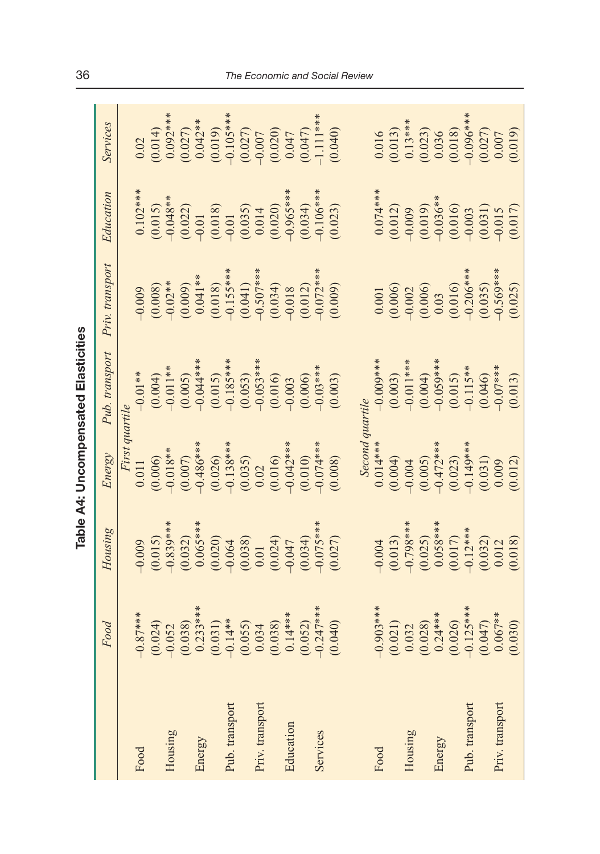| t                                                                                                                   |
|---------------------------------------------------------------------------------------------------------------------|
|                                                                                                                     |
|                                                                                                                     |
|                                                                                                                     |
|                                                                                                                     |
| and the state of the state of the state of the state of the state of the state of the state of the state of th<br>í |
|                                                                                                                     |
|                                                                                                                     |
|                                                                                                                     |
|                                                                                                                     |
|                                                                                                                     |
|                                                                                                                     |
|                                                                                                                     |
|                                                                                                                     |
| ı                                                                                                                   |
| ١<br>c                                                                                                              |

|                 |                                                                                                       |                                                                                                                 |                                                                                                                                                            | Table A4: Uncompensated Elasticities                                                                         |                                                                                                                                        |                                                                                                                                                          |                                                                                                                                                                                                                                                                                                                                                  |
|-----------------|-------------------------------------------------------------------------------------------------------|-----------------------------------------------------------------------------------------------------------------|------------------------------------------------------------------------------------------------------------------------------------------------------------|--------------------------------------------------------------------------------------------------------------|----------------------------------------------------------------------------------------------------------------------------------------|----------------------------------------------------------------------------------------------------------------------------------------------------------|--------------------------------------------------------------------------------------------------------------------------------------------------------------------------------------------------------------------------------------------------------------------------------------------------------------------------------------------------|
|                 | Food                                                                                                  | Housing                                                                                                         | Energy                                                                                                                                                     | Pub. transport                                                                                               | Priv. transport                                                                                                                        | Education                                                                                                                                                | Services                                                                                                                                                                                                                                                                                                                                         |
|                 |                                                                                                       |                                                                                                                 | First quartile                                                                                                                                             |                                                                                                              |                                                                                                                                        |                                                                                                                                                          |                                                                                                                                                                                                                                                                                                                                                  |
| Food            | $-0.87***$                                                                                            | $-0.009$<br>$(0.015)$<br>$-0.839***$                                                                            | 0.011                                                                                                                                                      | $-0.01***$                                                                                                   |                                                                                                                                        |                                                                                                                                                          | 0.02                                                                                                                                                                                                                                                                                                                                             |
|                 | (0.024)                                                                                               |                                                                                                                 |                                                                                                                                                            | $(0.004)$<br>-0.011**                                                                                        |                                                                                                                                        |                                                                                                                                                          |                                                                                                                                                                                                                                                                                                                                                  |
| Housing         |                                                                                                       |                                                                                                                 |                                                                                                                                                            |                                                                                                              |                                                                                                                                        |                                                                                                                                                          |                                                                                                                                                                                                                                                                                                                                                  |
|                 |                                                                                                       |                                                                                                                 |                                                                                                                                                            |                                                                                                              |                                                                                                                                        |                                                                                                                                                          |                                                                                                                                                                                                                                                                                                                                                  |
| Energy          |                                                                                                       |                                                                                                                 |                                                                                                                                                            |                                                                                                              |                                                                                                                                        |                                                                                                                                                          |                                                                                                                                                                                                                                                                                                                                                  |
|                 |                                                                                                       |                                                                                                                 |                                                                                                                                                            |                                                                                                              |                                                                                                                                        |                                                                                                                                                          |                                                                                                                                                                                                                                                                                                                                                  |
| Pub. transport  |                                                                                                       |                                                                                                                 |                                                                                                                                                            |                                                                                                              |                                                                                                                                        |                                                                                                                                                          |                                                                                                                                                                                                                                                                                                                                                  |
|                 | $-0.052$<br>$(0.038)$<br>$0.233***$<br>$0.233***$<br>$0.031)$<br>$(0.055)$<br>$(0.0534)$<br>$(0.038)$ |                                                                                                                 |                                                                                                                                                            |                                                                                                              |                                                                                                                                        |                                                                                                                                                          |                                                                                                                                                                                                                                                                                                                                                  |
| Priv. transport |                                                                                                       |                                                                                                                 |                                                                                                                                                            |                                                                                                              |                                                                                                                                        |                                                                                                                                                          |                                                                                                                                                                                                                                                                                                                                                  |
|                 |                                                                                                       |                                                                                                                 |                                                                                                                                                            |                                                                                                              |                                                                                                                                        |                                                                                                                                                          |                                                                                                                                                                                                                                                                                                                                                  |
| Education       | $0.14***$                                                                                             | $\begin{array}{c} (0.032)\\ 0.065***\\ 0.065***\\ 0.030\\ 0.020)\\ 0.038)\\ 0.01\\ 0.024\\ 0.034\\ \end{array}$ | $(0.006)\n(0.018**\n(0.007)\n(0.007)\n(0.026)\n(0.035)\n(0.035)\n(0.016)\n(0.010)\n(0.010)\n(0.010)\n(0.010)\n(0.010)\n(0.010)\n(0.010)\n(0.010)\n(0.010)$ | $(0.005)\n(0.04***\n(0.015)\n(0.015***\n(0.053***\n(0.053***\n(0.016)\n(0.016)$                              |                                                                                                                                        | $0.102**$<br>$0.015$<br>$0.015$<br>$0.015$<br>$0.015$<br>$0.015$<br>$0.015$<br>$0.015$<br>$0.015$<br>$0.035$<br>$0.034$<br>$0.034$<br>$0.034$<br>$0.034$ | $\begin{array}{l} (0.014) \\ (0.092**\\ 0.092**\\ (0.027) \\ (0.019) \\ (0.019) \\ (0.010) \\ (0.027) \\ (0.010) \\ (0.027) \\ (0.047) \\ (0.047) \\ (-0.047) \\ (-0.047) \\ (-0.047) \\ (-0.047) \\ (-0.047) \\ (-0.047) \\ (-0.047) \\ (-0.047) \\ (-0.047) \\ (-0.047) \\ (-0.047) \\ (-0.047) \\ (-0.047) \\ (-0.047) \\ (-0.04$             |
|                 | (0.052)                                                                                               |                                                                                                                 |                                                                                                                                                            | (0.006)                                                                                                      |                                                                                                                                        |                                                                                                                                                          |                                                                                                                                                                                                                                                                                                                                                  |
| Services        | $-0.247**$                                                                                            |                                                                                                                 |                                                                                                                                                            | $-0.03***$                                                                                                   |                                                                                                                                        |                                                                                                                                                          |                                                                                                                                                                                                                                                                                                                                                  |
|                 | (0.040)                                                                                               | $-0.075***$<br>(0.027)                                                                                          | (0.008)                                                                                                                                                    | (0.003)                                                                                                      | $(0.009\n0.008)\n(0.0007)\n(0.009)\n(0.004)\n(0.007)\n(0.007)\n(0.008)\n(0.007)\n(0.007)\n(0.007)\n(0.007)\n(0.009)\n(0.009)\n(0.009)$ | $\frac{1}{2}$ .106***<br>(0.023)                                                                                                                         | (0.040)                                                                                                                                                                                                                                                                                                                                          |
|                 |                                                                                                       |                                                                                                                 | Second                                                                                                                                                     | quartile                                                                                                     |                                                                                                                                        |                                                                                                                                                          |                                                                                                                                                                                                                                                                                                                                                  |
| Food            | $-0.903***$                                                                                           |                                                                                                                 | $0.014***$                                                                                                                                                 | $-0.009***$                                                                                                  |                                                                                                                                        |                                                                                                                                                          |                                                                                                                                                                                                                                                                                                                                                  |
|                 | $(0.021)$<br>$0.032$                                                                                  | $-0.004$<br>$(0.013)$<br>$-0.798***$<br>$-0.025$<br>$(0.025)$<br>$0.058***$<br>$-0.12***$                       | $(0.004)$ $(0.005)$ $(0.005)$ $(0.007)$ $(0.023)$ $(0.031)$ $(0.031)$ $(0.031)$ $(0.012)$                                                                  | $\begin{array}{c} (0.003) \\ (0.004) \\ (0.004) \\ (0.005) \\ (0.15) \\ (0.115** \\ (0.115** \\ \end{array}$ | $\begin{array}{c} 0.001 \\ 0.006 \\ -0.002 \\ 0.002 \\ 0.006 \end{array}$                                                              |                                                                                                                                                          | $\begin{array}{l} 0.016\\0.013)\\0.13\hskip-2.0cm\phantom{0}3\hskip-2.0cm\phantom{0}6\\0.023)\\0.036\\0.036\hskip-2.0cm\phantom{0}6\hskip-2.0cm\phantom{0}6\hskip-2.0cm\phantom{0}8\hskip-2.0cm\phantom{0}8\hskip-2.0cm\phantom{0}8\hskip-2.0cm\phantom{0}8\hskip-2.0cm\phantom{0}9\hskip-2.0cm\phantom{0}0\\0.007\hskip-2.0cm\phantom{0}0.007\$ |
| Housing         |                                                                                                       |                                                                                                                 |                                                                                                                                                            |                                                                                                              |                                                                                                                                        |                                                                                                                                                          |                                                                                                                                                                                                                                                                                                                                                  |
|                 |                                                                                                       |                                                                                                                 |                                                                                                                                                            |                                                                                                              |                                                                                                                                        |                                                                                                                                                          |                                                                                                                                                                                                                                                                                                                                                  |
| Energy          | $(0.028)$<br>$0.24***$                                                                                |                                                                                                                 |                                                                                                                                                            |                                                                                                              |                                                                                                                                        |                                                                                                                                                          |                                                                                                                                                                                                                                                                                                                                                  |
|                 | $(0.026)$<br>-0.125***                                                                                |                                                                                                                 |                                                                                                                                                            |                                                                                                              | $\begin{array}{c} 0.03 \\ (0.016) \\ -0.206*** \\ (0.035) \end{array}$                                                                 |                                                                                                                                                          |                                                                                                                                                                                                                                                                                                                                                  |
| Pub. transport  |                                                                                                       |                                                                                                                 |                                                                                                                                                            |                                                                                                              |                                                                                                                                        |                                                                                                                                                          |                                                                                                                                                                                                                                                                                                                                                  |
|                 | (0.047)                                                                                               | $(0.032)$<br>$0.012$<br>$(0.018)$                                                                               |                                                                                                                                                            |                                                                                                              |                                                                                                                                        |                                                                                                                                                          |                                                                                                                                                                                                                                                                                                                                                  |
| Priv. transport | $0.067***$                                                                                            |                                                                                                                 |                                                                                                                                                            |                                                                                                              |                                                                                                                                        |                                                                                                                                                          |                                                                                                                                                                                                                                                                                                                                                  |
|                 | (0.030)                                                                                               |                                                                                                                 |                                                                                                                                                            | $(0.046)$<br>$-0.07***$<br>$(0.013)$                                                                         | $-0.569***$<br>(0.025)                                                                                                                 | $\begin{array}{l}0.074**\\0.012)\\0.012)\\0.019)\\0.019\\0.019\\0.010\\0.010\\0.010\\0.003\\0.003\\0.011\\0.017\end{array}$                              | (0.019)                                                                                                                                                                                                                                                                                                                                          |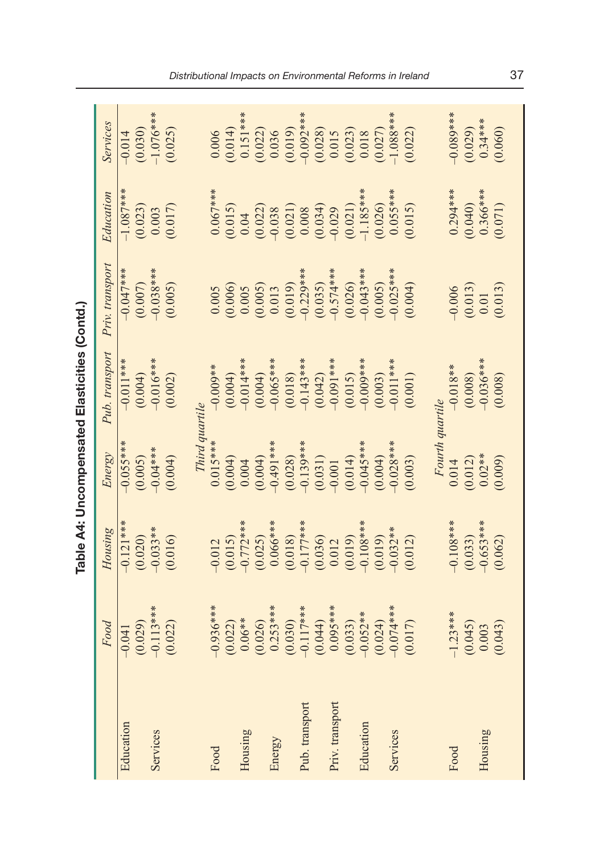|                 |             |                                      |                                                                                   | Table A4: Uncompensated Elasticities (Contd.) |                                                                                       |                                                                                                                                                                                                                                                                          |                                                                                                                                                                               |
|-----------------|-------------|--------------------------------------|-----------------------------------------------------------------------------------|-----------------------------------------------|---------------------------------------------------------------------------------------|--------------------------------------------------------------------------------------------------------------------------------------------------------------------------------------------------------------------------------------------------------------------------|-------------------------------------------------------------------------------------------------------------------------------------------------------------------------------|
|                 | Food        | Housing                              | Energy                                                                            | Pub. transport                                | Priv. transport                                                                       | Education                                                                                                                                                                                                                                                                | Services                                                                                                                                                                      |
| Education       | $-0.041$    | $-0.121***$                          | $-0.055***$                                                                       | $-0.011***$                                   | $-0.047***$                                                                           | $-1.087$ **                                                                                                                                                                                                                                                              | $-0.014$<br>(0.030)<br>-1.076***                                                                                                                                              |
|                 | (0.029)     | (0.020)                              | (0.005)                                                                           | $(0.004)$<br>-0.016***                        | (0.007)                                                                               | $(0.023)$<br>$0.003$                                                                                                                                                                                                                                                     |                                                                                                                                                                               |
| Services        | $-0.113***$ | $-0.033**$                           | $-0.04***$                                                                        |                                               | $-0.038***$                                                                           |                                                                                                                                                                                                                                                                          |                                                                                                                                                                               |
|                 | (0.022)     | (0.016)                              | (0.004)                                                                           | (0.002)                                       | (0.005)                                                                               | (0.017)                                                                                                                                                                                                                                                                  | (0.025)                                                                                                                                                                       |
|                 |             |                                      |                                                                                   |                                               |                                                                                       |                                                                                                                                                                                                                                                                          |                                                                                                                                                                               |
|                 |             |                                      | Third quartile                                                                    |                                               |                                                                                       |                                                                                                                                                                                                                                                                          |                                                                                                                                                                               |
| Food            | $-0.936***$ | $-0.012$                             | $0.015***$                                                                        | $-0.009**$                                    |                                                                                       | $0.067***$                                                                                                                                                                                                                                                               |                                                                                                                                                                               |
|                 | (0.022)     | $(0.015)$<br>-0.772***               |                                                                                   | (0.004)                                       |                                                                                       |                                                                                                                                                                                                                                                                          |                                                                                                                                                                               |
| Housing         | $0.06**$    |                                      |                                                                                   | $-0.014**$                                    |                                                                                       |                                                                                                                                                                                                                                                                          |                                                                                                                                                                               |
|                 | (0.026)     | $(0.025)$<br>0.066***                | $\begin{array}{c} (0.004) \\ 0.004 \\ (0.004) \\ (0.004) \\ -0.491** \end{array}$ | (0.004)                                       | $0.005$<br>$(0.006)$<br>$(0.005)$<br>$(0.005)$<br>$(0.013)$<br>$(0.019)$<br>$(0.019)$ | $\begin{array}{c} (0.015)\\ 0.04\\ 0.022\\ 0.023\\ 0.038\\ 0.0008\\ 0.0034\\ 0.0034\\ 0.0011\\ 0.0034\\ -1.185***\\ 0.020\\ 0.001\\ 0.002\\ 0.000\\ 0.000\\ 0.000\\ 0.000\\ 0.000\\ 0.000\\ 0.000\\ 0.000\\ 0.000\\ 0.000\\ 0.000\\ 0.000\\ 0.000\\ 0.000\\ 0.000\\ 0.0$ | $\begin{array}{c} 0.006 \\ 0.014) \\ 0.151*** \\ 0.151*** \\ 0.022) \\ 0.036 \\ 0.019)\\ 0.036 \\ 0.019)\\ 0.0213 \\ 0.013 \\ 0.015 \\ 0.027)\\ 0.0027 \\ 0.0027 \end{array}$ |
| Energy          | $0.253***$  |                                      |                                                                                   | $-0.065***$                                   |                                                                                       |                                                                                                                                                                                                                                                                          |                                                                                                                                                                               |
|                 | (0.030)     | (0.018)                              | (0.028)                                                                           | (0.018)                                       |                                                                                       |                                                                                                                                                                                                                                                                          |                                                                                                                                                                               |
| Pub. transport  | $-0.117***$ |                                      |                                                                                   | $-0.143***$                                   |                                                                                       |                                                                                                                                                                                                                                                                          |                                                                                                                                                                               |
|                 | (0.044)     | $\frac{-0.177***}{(0.036)}$<br>0.012 | $-0.139$ **<br>(0.031)<br>(0.031)<br>(0.014)                                      | $(0.042)$<br>-0.091***                        | $(0.035)$<br>-0.574***<br>(0.026)                                                     |                                                                                                                                                                                                                                                                          |                                                                                                                                                                               |
| Priv. transport | $0.095***$  |                                      |                                                                                   |                                               |                                                                                       |                                                                                                                                                                                                                                                                          |                                                                                                                                                                               |
|                 | (0.033)     | $(0.019)$<br>-0.108***               |                                                                                   | (0.015)                                       |                                                                                       |                                                                                                                                                                                                                                                                          |                                                                                                                                                                               |
| Education       | $-0.052**$  |                                      | $-0.045***$                                                                       | $-0.000$ ***                                  | $-0.043***$                                                                           |                                                                                                                                                                                                                                                                          |                                                                                                                                                                               |
|                 | (0.024)     | (0.019)                              | (0.004)                                                                           | (0.003)                                       | (0.005)                                                                               |                                                                                                                                                                                                                                                                          |                                                                                                                                                                               |
| Services        | $-0.074***$ | $-0.032**$                           | $-0.028***$                                                                       | $-0.011$ ***                                  | $-0.025***$                                                                           | $0.055***$                                                                                                                                                                                                                                                               | $-1.088**$                                                                                                                                                                    |
|                 | (0.017)     | (0.012)                              | (0.003)                                                                           | (0.001)                                       | (0.004)                                                                               | (0.015)                                                                                                                                                                                                                                                                  | (0.022)                                                                                                                                                                       |
|                 |             |                                      |                                                                                   |                                               |                                                                                       |                                                                                                                                                                                                                                                                          |                                                                                                                                                                               |
|                 |             |                                      | Fourth quartile                                                                   |                                               |                                                                                       |                                                                                                                                                                                                                                                                          |                                                                                                                                                                               |
| Food            | $-1.23***$  | $-0.108***$                          | $\frac{0.014}{(0.012)}$                                                           | $-0.018**$                                    | $-0.006$                                                                              | $0.294***$                                                                                                                                                                                                                                                               | $-0.089***$                                                                                                                                                                   |
|                 | (0.045)     | (0.033)                              |                                                                                   | $(0.008)$<br>-0.036***                        | $\begin{array}{c} (0.013) \\ 0.01 \end{array}$                                        | (0.040)                                                                                                                                                                                                                                                                  | (0.029)                                                                                                                                                                       |
| Housing         | 0.003       | $-0.653***$                          | $0.02***$                                                                         |                                               |                                                                                       | $0.366***$                                                                                                                                                                                                                                                               | $0.34***$                                                                                                                                                                     |
|                 | (0.043)     | (0.062)                              | (0.009)                                                                           | (0.008)                                       | (0.013)                                                                               | (0.071)                                                                                                                                                                                                                                                                  | (0.060)                                                                                                                                                                       |
|                 |             |                                      |                                                                                   |                                               |                                                                                       |                                                                                                                                                                                                                                                                          |                                                                                                                                                                               |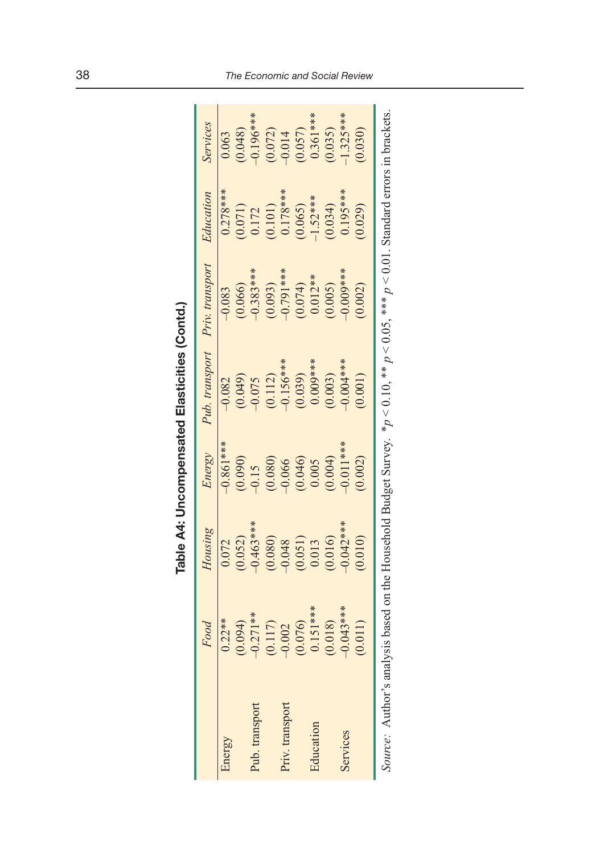|                                                                                                                                              |             |                        |             | Table A4: Uncompensated Elasticities (Contd.) |                                                   |            |             |
|----------------------------------------------------------------------------------------------------------------------------------------------|-------------|------------------------|-------------|-----------------------------------------------|---------------------------------------------------|------------|-------------|
|                                                                                                                                              | Food        | Housing                | Energy      | Pub. transport                                | Priv. transport                                   | Education  | Services    |
| Energy                                                                                                                                       | $0.22***$   | 0.072                  | $-0.861***$ | $-0.082$                                      | $-0.083$                                          | $0.278***$ | 0.063       |
|                                                                                                                                              | (0.094)     | (0.052)                | (0.090)     | (0.049)                                       | (0.066)                                           | (1/0.071)  | (0.048)     |
| Pub. transport                                                                                                                               | $-0.271**$  | $-0.463***$            | $-0.15$     | $-0.075$                                      | $-0.383***$                                       | 0.172      | $-0.196***$ |
|                                                                                                                                              | (0.117)     | (0.080)                | (0.080)     | $(0.112)$<br>-0.156***                        |                                                   | (0.101)    | (0.072)     |
| Priv. transport                                                                                                                              | $-0.002$    | $-0.048$               | $-0.066$    |                                               | $(0.093)$<br>-0.791***                            | $0.178***$ | $-0.014$    |
|                                                                                                                                              | (0.076)     |                        | (0.046)     | (0.039)                                       |                                                   | (0.065)    | (0.057)     |
| Education                                                                                                                                    | $0.151***$  | $\binom{0.051}{0.013}$ | 0.005       | $0.009***$                                    | $\begin{array}{c} (0.074) \\ 0.012** \end{array}$ | $-1.52***$ | $0.361***$  |
|                                                                                                                                              | (0.018)     | (0.016)                | (0.004)     | (0.003)                                       | (0.005)                                           | (0.034)    | (0.035)     |
| Services                                                                                                                                     | $-0.043***$ | $-0.042***$            | $0.011***$  | $-0.004***$                                   | $-0.009***$                                       | $0.195***$ | $1.325***$  |
|                                                                                                                                              | (0.011)     | (0.010)                | (0.002)     | (0.001)                                       | (0.002)                                           | (0.029)    | (0.030)     |
| Source: Author's analysis based on the Household Budget Survey. * $p < 0.10$ , ** $p < 0.05$ , *** $p < 0.01$ . Standard errors in brackets. |             |                        |             |                                               |                                                   |            |             |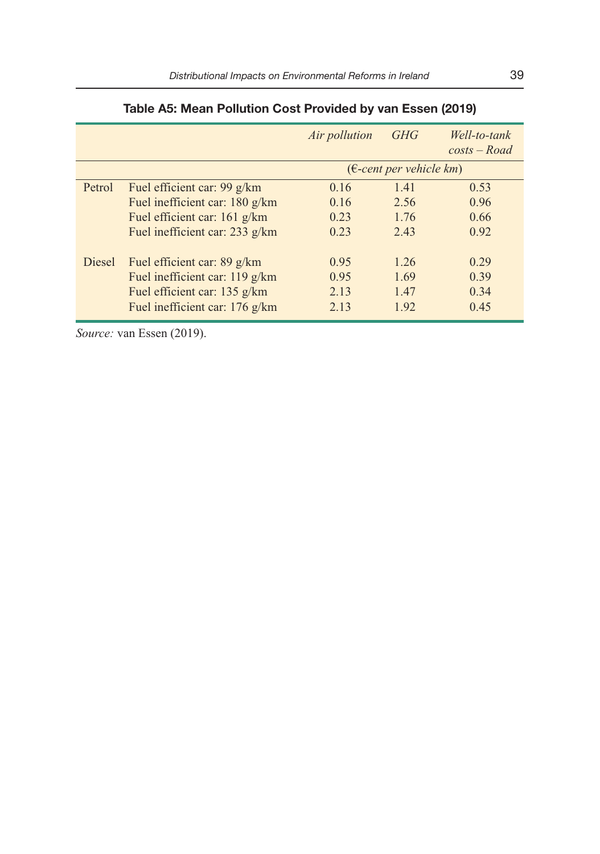|        |                                                     | Air pollution                     | <b>GHG</b> | Well-to-tank<br>$costs - Road$ |
|--------|-----------------------------------------------------|-----------------------------------|------------|--------------------------------|
|        |                                                     | $(\epsilon$ -cent per vehicle km) |            |                                |
| Petrol | Fuel efficient car: $99 \frac{\text{g}}{\text{km}}$ | 0.16                              | 1.41       | 0.53                           |
|        | Fuel inefficient car: 180 g/km                      | 0.16                              | 2.56       | 0.96                           |
|        | Fuel efficient car: 161 g/km                        | 0.23                              | 1.76       | 0.66                           |
|        | Fuel inefficient car: 233 g/km                      | 0.23                              | 2.43       | 0.92                           |
| Diesel | Fuel efficient car: 89 g/km                         | 0.95                              | 1.26       | 0.29                           |
|        | Fuel inefficient car: 119 g/km                      | 0.95                              | 1.69       | 0.39                           |
|        | Fuel efficient car: 135 g/km                        | 2.13                              | 1.47       | 0.34                           |
|        | Fuel inefficient car: 176 g/km                      | 2.13                              | 1.92       | 0.45                           |

# **Table A5: Mean Pollution Cost Provided by van Essen (2019)**

*Source:* van Essen (2019).